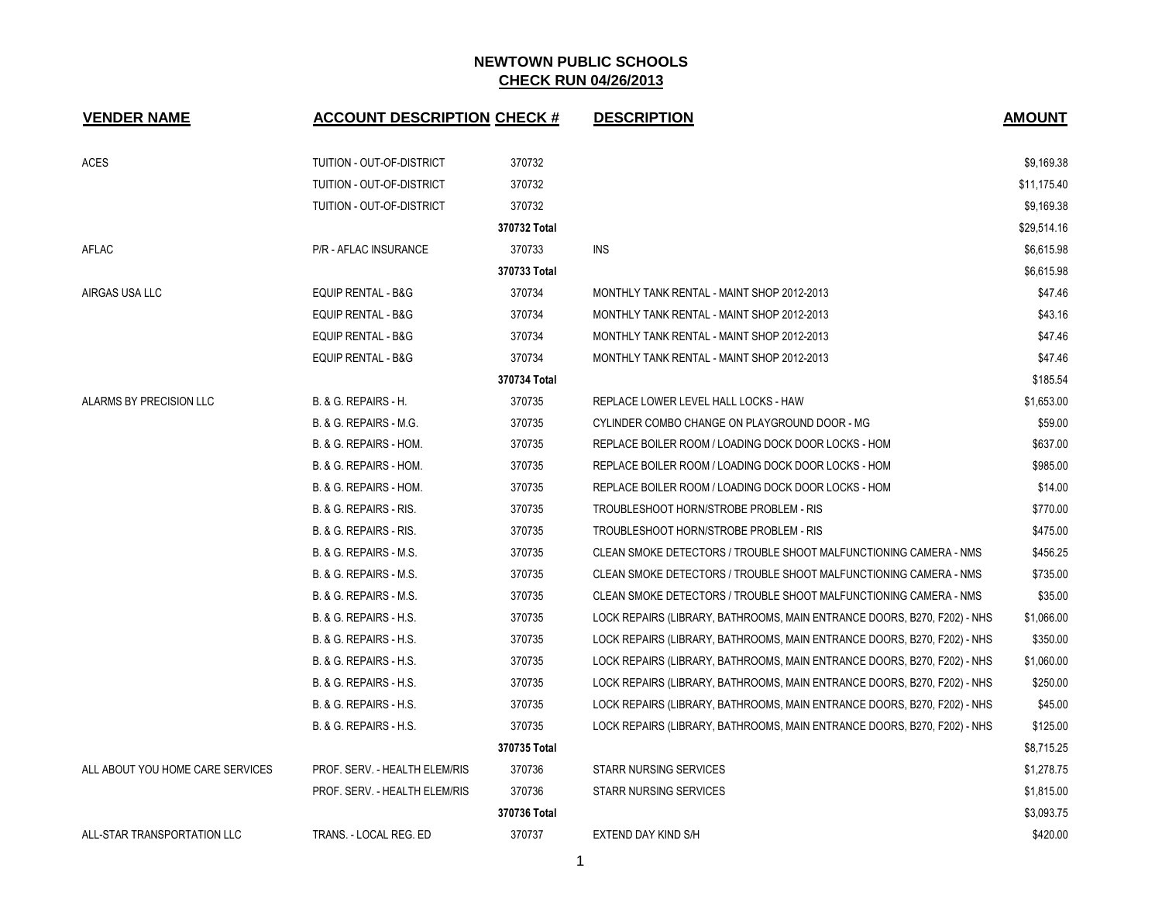| <b>VENDER NAME</b>               | <b>ACCOUNT DESCRIPTION CHECK #</b> |              | <b>DESCRIPTION</b>                                                       | <b>AMOUNT</b> |
|----------------------------------|------------------------------------|--------------|--------------------------------------------------------------------------|---------------|
| <b>ACES</b>                      | TUITION - OUT-OF-DISTRICT          | 370732       |                                                                          | \$9,169.38    |
|                                  | TUITION - OUT-OF-DISTRICT          | 370732       |                                                                          | \$11,175.40   |
|                                  | TUITION - OUT-OF-DISTRICT          | 370732       |                                                                          | \$9,169.38    |
|                                  |                                    | 370732 Total |                                                                          | \$29,514.16   |
| AFLAC                            | P/R - AFLAC INSURANCE              | 370733       | <b>INS</b>                                                               | \$6,615.98    |
|                                  |                                    | 370733 Total |                                                                          | \$6,615.98    |
| AIRGAS USA LLC                   | EQUIP RENTAL - B&G                 | 370734       | MONTHLY TANK RENTAL - MAINT SHOP 2012-2013                               | \$47.46       |
|                                  | EQUIP RENTAL - B&G                 | 370734       | MONTHLY TANK RENTAL - MAINT SHOP 2012-2013                               | \$43.16       |
|                                  | EQUIP RENTAL - B&G                 | 370734       | MONTHLY TANK RENTAL - MAINT SHOP 2012-2013                               | \$47.46       |
|                                  | <b>EQUIP RENTAL - B&amp;G</b>      | 370734       | MONTHLY TANK RENTAL - MAINT SHOP 2012-2013                               | \$47.46       |
|                                  |                                    | 370734 Total |                                                                          | \$185.54      |
| ALARMS BY PRECISION LLC          | B. & G. REPAIRS - H.               | 370735       | REPLACE LOWER LEVEL HALL LOCKS - HAW                                     | \$1,653.00    |
|                                  | B. & G. REPAIRS - M.G.             | 370735       | CYLINDER COMBO CHANGE ON PLAYGROUND DOOR - MG                            | \$59.00       |
|                                  | B. & G. REPAIRS - HOM.             | 370735       | REPLACE BOILER ROOM / LOADING DOCK DOOR LOCKS - HOM                      | \$637.00      |
|                                  | B. & G. REPAIRS - HOM.             | 370735       | REPLACE BOILER ROOM / LOADING DOCK DOOR LOCKS - HOM                      | \$985.00      |
|                                  | B. & G. REPAIRS - HOM.             | 370735       | REPLACE BOILER ROOM / LOADING DOCK DOOR LOCKS - HOM                      | \$14.00       |
|                                  | B. & G. REPAIRS - RIS.             | 370735       | TROUBLESHOOT HORN/STROBE PROBLEM - RIS                                   | \$770.00      |
|                                  | B. & G. REPAIRS - RIS.             | 370735       | TROUBLESHOOT HORN/STROBE PROBLEM - RIS                                   | \$475.00      |
|                                  | B. & G. REPAIRS - M.S.             | 370735       | CLEAN SMOKE DETECTORS / TROUBLE SHOOT MALFUNCTIONING CAMERA - NMS        | \$456.25      |
|                                  | B. & G. REPAIRS - M.S.             | 370735       | CLEAN SMOKE DETECTORS / TROUBLE SHOOT MALFUNCTIONING CAMERA - NMS        | \$735.00      |
|                                  | B. & G. REPAIRS - M.S.             | 370735       | CLEAN SMOKE DETECTORS / TROUBLE SHOOT MALFUNCTIONING CAMERA - NMS        | \$35.00       |
|                                  | B. & G. REPAIRS - H.S.             | 370735       | LOCK REPAIRS (LIBRARY, BATHROOMS, MAIN ENTRANCE DOORS, B270, F202) - NHS | \$1,066.00    |
|                                  | B. & G. REPAIRS - H.S.             | 370735       | LOCK REPAIRS (LIBRARY, BATHROOMS, MAIN ENTRANCE DOORS, B270, F202) - NHS | \$350.00      |
|                                  | B. & G. REPAIRS - H.S.             | 370735       | LOCK REPAIRS (LIBRARY, BATHROOMS, MAIN ENTRANCE DOORS, B270, F202) - NHS | \$1,060.00    |
|                                  | B. & G. REPAIRS - H.S.             | 370735       | LOCK REPAIRS (LIBRARY, BATHROOMS, MAIN ENTRANCE DOORS, B270, F202) - NHS | \$250.00      |
|                                  | B. & G. REPAIRS - H.S.             | 370735       | LOCK REPAIRS (LIBRARY, BATHROOMS, MAIN ENTRANCE DOORS, B270, F202) - NHS | \$45.00       |
|                                  | B. & G. REPAIRS - H.S.             | 370735       | LOCK REPAIRS (LIBRARY, BATHROOMS, MAIN ENTRANCE DOORS, B270, F202) - NHS | \$125.00      |
|                                  |                                    | 370735 Total |                                                                          | \$8,715.25    |
| ALL ABOUT YOU HOME CARE SERVICES | PROF. SERV. - HEALTH ELEM/RIS      | 370736       | <b>STARR NURSING SERVICES</b>                                            | \$1,278.75    |
|                                  | PROF. SERV. - HEALTH ELEM/RIS      | 370736       | <b>STARR NURSING SERVICES</b>                                            | \$1,815.00    |
|                                  |                                    | 370736 Total |                                                                          | \$3,093.75    |
| ALL-STAR TRANSPORTATION LLC      | TRANS. - LOCAL REG. ED             | 370737       | EXTEND DAY KIND S/H                                                      | \$420.00      |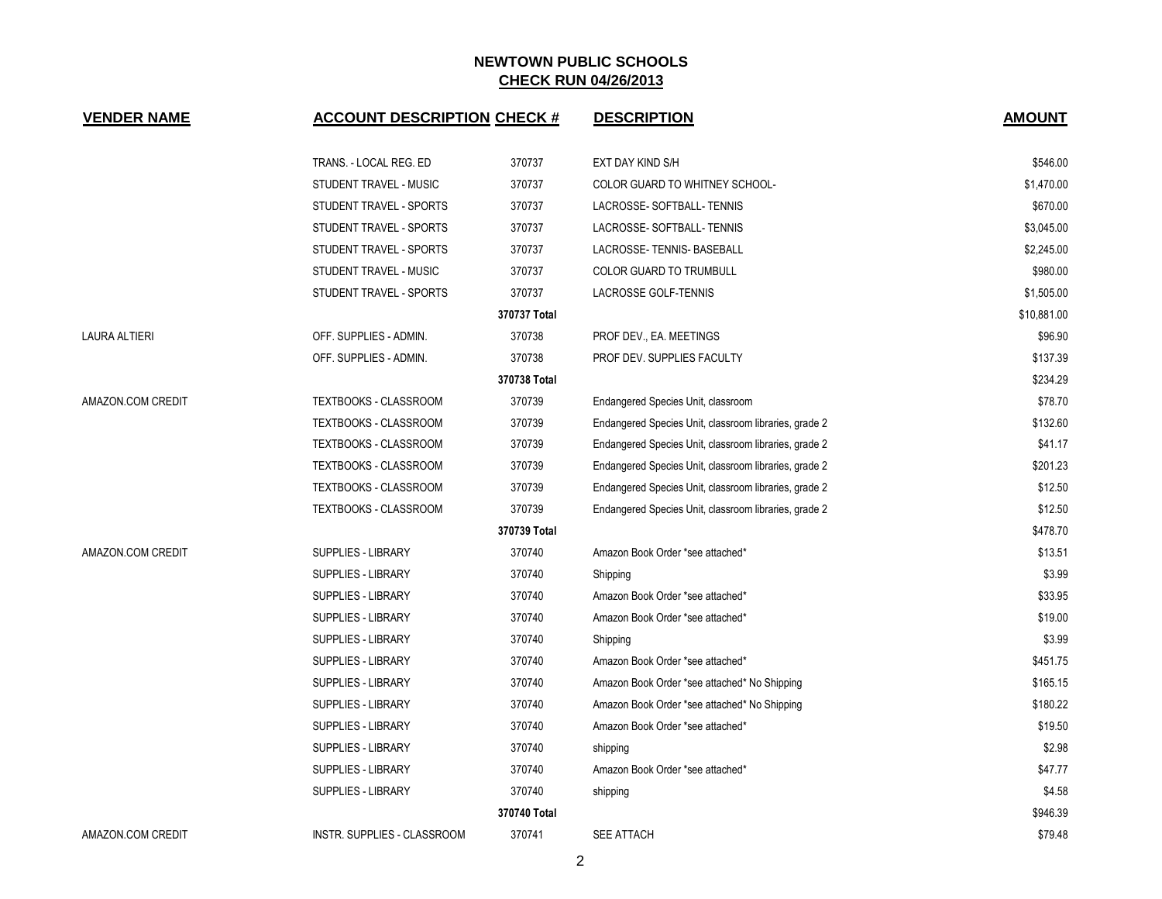| <b>VENDER NAME</b>   | <b>ACCOUNT DESCRIPTION CHECK #</b> |              | <b>DESCRIPTION</b>                                    | <b>AMOUNT</b> |
|----------------------|------------------------------------|--------------|-------------------------------------------------------|---------------|
|                      | TRANS. - LOCAL REG. ED             | 370737       | EXT DAY KIND S/H                                      | \$546.00      |
|                      | STUDENT TRAVEL - MUSIC             | 370737       | COLOR GUARD TO WHITNEY SCHOOL-                        | \$1,470.00    |
|                      | STUDENT TRAVEL - SPORTS            | 370737       | LACROSSE-SOFTBALL-TENNIS                              | \$670.00      |
|                      | STUDENT TRAVEL - SPORTS            | 370737       | LACROSSE-SOFTBALL-TENNIS                              | \$3,045.00    |
|                      | STUDENT TRAVEL - SPORTS            | 370737       | LACROSSE-TENNIS-BASEBALL                              | \$2,245.00    |
|                      | STUDENT TRAVEL - MUSIC             | 370737       | <b>COLOR GUARD TO TRUMBULL</b>                        | \$980.00      |
|                      | STUDENT TRAVEL - SPORTS            | 370737       | LACROSSE GOLF-TENNIS                                  | \$1,505.00    |
|                      |                                    | 370737 Total |                                                       | \$10,881.00   |
| <b>LAURA ALTIERI</b> | OFF. SUPPLIES - ADMIN.             | 370738       | PROF DEV., EA. MEETINGS                               | \$96.90       |
|                      | OFF. SUPPLIES - ADMIN.             | 370738       | PROF DEV. SUPPLIES FACULTY                            | \$137.39      |
|                      |                                    | 370738 Total |                                                       | \$234.29      |
| AMAZON.COM CREDIT    | <b>TEXTBOOKS - CLASSROOM</b>       | 370739       | Endangered Species Unit, classroom                    | \$78.70       |
|                      | <b>TEXTBOOKS - CLASSROOM</b>       | 370739       | Endangered Species Unit, classroom libraries, grade 2 | \$132.60      |
|                      | TEXTBOOKS - CLASSROOM              | 370739       | Endangered Species Unit, classroom libraries, grade 2 | \$41.17       |
|                      | TEXTBOOKS - CLASSROOM              | 370739       | Endangered Species Unit, classroom libraries, grade 2 | \$201.23      |
|                      | TEXTBOOKS - CLASSROOM              | 370739       | Endangered Species Unit, classroom libraries, grade 2 | \$12.50       |
|                      | TEXTBOOKS - CLASSROOM              | 370739       | Endangered Species Unit, classroom libraries, grade 2 | \$12.50       |
|                      |                                    | 370739 Total |                                                       | \$478.70      |
| AMAZON.COM CREDIT    | <b>SUPPLIES - LIBRARY</b>          | 370740       | Amazon Book Order *see attached*                      | \$13.51       |
|                      | <b>SUPPLIES - LIBRARY</b>          | 370740       | Shipping                                              | \$3.99        |
|                      | SUPPLIES - LIBRARY                 | 370740       | Amazon Book Order *see attached*                      | \$33.95       |
|                      | <b>SUPPLIES - LIBRARY</b>          | 370740       | Amazon Book Order *see attached*                      | \$19.00       |
|                      | <b>SUPPLIES - LIBRARY</b>          | 370740       | Shipping                                              | \$3.99        |
|                      | <b>SUPPLIES - LIBRARY</b>          | 370740       | Amazon Book Order *see attached*                      | \$451.75      |
|                      | <b>SUPPLIES - LIBRARY</b>          | 370740       | Amazon Book Order *see attached* No Shipping          | \$165.15      |
|                      | SUPPLIES - LIBRARY                 | 370740       | Amazon Book Order *see attached* No Shipping          | \$180.22      |
|                      | <b>SUPPLIES - LIBRARY</b>          | 370740       | Amazon Book Order *see attached*                      | \$19.50       |
|                      | SUPPLIES - LIBRARY                 | 370740       | shipping                                              | \$2.98        |
|                      | <b>SUPPLIES - LIBRARY</b>          | 370740       | Amazon Book Order *see attached*                      | \$47.77       |
|                      | <b>SUPPLIES - LIBRARY</b>          | 370740       | shipping                                              | \$4.58        |
|                      |                                    | 370740 Total |                                                       | \$946.39      |
| AMAZON.COM CREDIT    | INSTR. SUPPLIES - CLASSROOM        | 370741       | <b>SEE ATTACH</b>                                     | \$79.48       |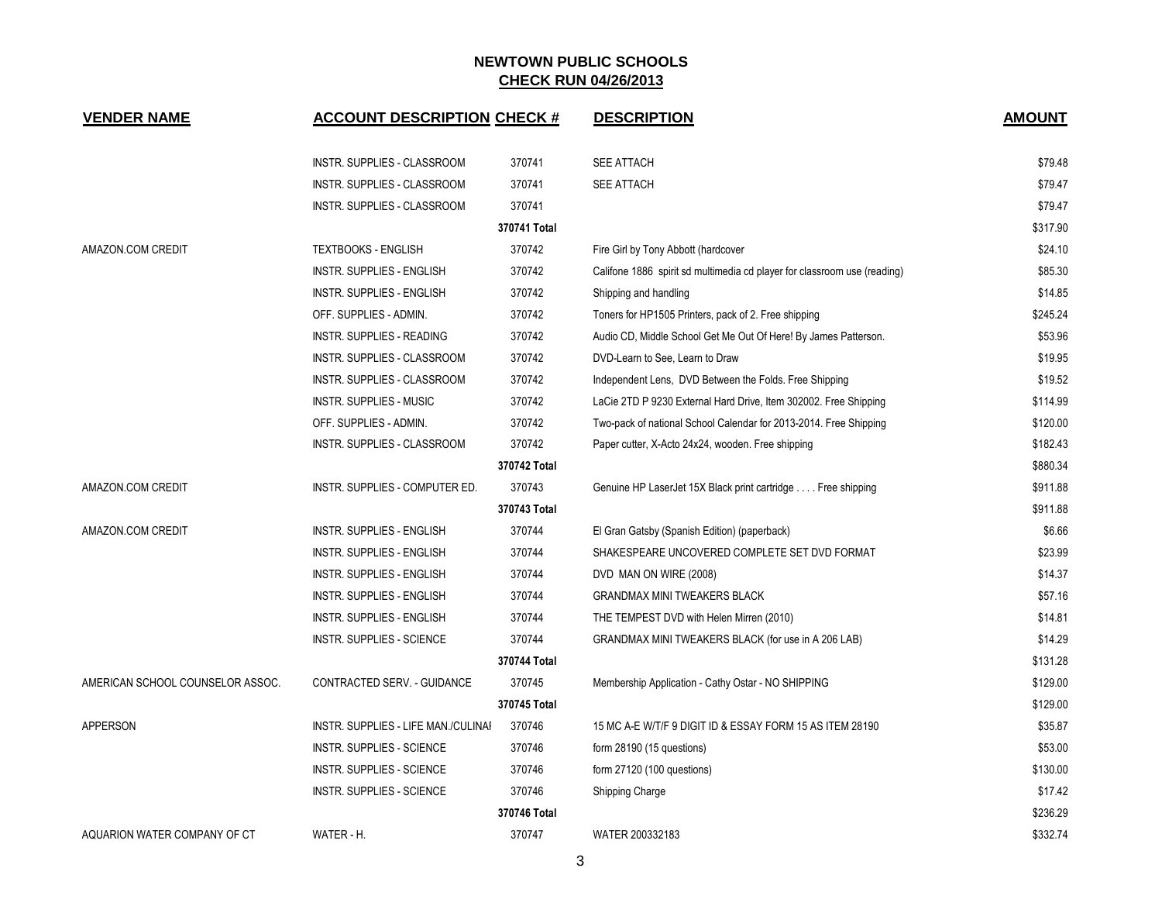| <b>VENDER NAME</b>               | <b>ACCOUNT DESCRIPTION CHECK #</b>  |              | <b>DESCRIPTION</b>                                                       | <b>AMOUNT</b> |
|----------------------------------|-------------------------------------|--------------|--------------------------------------------------------------------------|---------------|
|                                  | <b>INSTR. SUPPLIES - CLASSROOM</b>  | 370741       | <b>SEE ATTACH</b>                                                        | \$79.48       |
|                                  | <b>INSTR. SUPPLIES - CLASSROOM</b>  | 370741       | <b>SEE ATTACH</b>                                                        | \$79.47       |
|                                  | INSTR. SUPPLIES - CLASSROOM         | 370741       |                                                                          | \$79.47       |
|                                  |                                     | 370741 Total |                                                                          | \$317.90      |
| AMAZON.COM CREDIT                | <b>TEXTBOOKS - ENGLISH</b>          | 370742       | Fire Girl by Tony Abbott (hardcover                                      | \$24.10       |
|                                  | <b>INSTR. SUPPLIES - ENGLISH</b>    | 370742       | Califone 1886 spirit sd multimedia cd player for classroom use (reading) | \$85.30       |
|                                  | <b>INSTR. SUPPLIES - ENGLISH</b>    | 370742       | Shipping and handling                                                    | \$14.85       |
|                                  | OFF. SUPPLIES - ADMIN.              | 370742       | Toners for HP1505 Printers, pack of 2. Free shipping                     | \$245.24      |
|                                  | INSTR. SUPPLIES - READING           | 370742       | Audio CD, Middle School Get Me Out Of Here! By James Patterson.          | \$53.96       |
|                                  | INSTR. SUPPLIES - CLASSROOM         | 370742       | DVD-Learn to See, Learn to Draw                                          | \$19.95       |
|                                  | <b>INSTR. SUPPLIES - CLASSROOM</b>  | 370742       | Independent Lens, DVD Between the Folds. Free Shipping                   | \$19.52       |
|                                  | <b>INSTR. SUPPLIES - MUSIC</b>      | 370742       | LaCie 2TD P 9230 External Hard Drive, Item 302002. Free Shipping         | \$114.99      |
|                                  | OFF. SUPPLIES - ADMIN.              | 370742       | Two-pack of national School Calendar for 2013-2014. Free Shipping        | \$120.00      |
|                                  | <b>INSTR. SUPPLIES - CLASSROOM</b>  | 370742       | Paper cutter, X-Acto 24x24, wooden. Free shipping                        | \$182.43      |
|                                  |                                     | 370742 Total |                                                                          | \$880.34      |
| AMAZON.COM CREDIT                | INSTR. SUPPLIES - COMPUTER ED.      | 370743       | Genuine HP LaserJet 15X Black print cartridge Free shipping              | \$911.88      |
|                                  |                                     | 370743 Total |                                                                          | \$911.88      |
| AMAZON.COM CREDIT                | <b>INSTR. SUPPLIES - ENGLISH</b>    | 370744       | El Gran Gatsby (Spanish Edition) (paperback)                             | \$6.66        |
|                                  | <b>INSTR. SUPPLIES - ENGLISH</b>    | 370744       | SHAKESPEARE UNCOVERED COMPLETE SET DVD FORMAT                            | \$23.99       |
|                                  | <b>INSTR. SUPPLIES - ENGLISH</b>    | 370744       | DVD MAN ON WIRE (2008)                                                   | \$14.37       |
|                                  | <b>INSTR. SUPPLIES - ENGLISH</b>    | 370744       | <b>GRANDMAX MINI TWEAKERS BLACK</b>                                      | \$57.16       |
|                                  | <b>INSTR. SUPPLIES - ENGLISH</b>    | 370744       | THE TEMPEST DVD with Helen Mirren (2010)                                 | \$14.81       |
|                                  | <b>INSTR. SUPPLIES - SCIENCE</b>    | 370744       | GRANDMAX MINI TWEAKERS BLACK (for use in A 206 LAB)                      | \$14.29       |
|                                  |                                     | 370744 Total |                                                                          | \$131.28      |
| AMERICAN SCHOOL COUNSELOR ASSOC. | CONTRACTED SERV. - GUIDANCE         | 370745       | Membership Application - Cathy Ostar - NO SHIPPING                       | \$129.00      |
|                                  |                                     | 370745 Total |                                                                          | \$129.00      |
| APPERSON                         | INSTR. SUPPLIES - LIFE MAN./CULINAI | 370746       | 15 MC A-E W/T/F 9 DIGIT ID & ESSAY FORM 15 AS ITEM 28190                 | \$35.87       |
|                                  | <b>INSTR. SUPPLIES - SCIENCE</b>    | 370746       | form $28190(15$ questions)                                               | \$53.00       |
|                                  | <b>INSTR. SUPPLIES - SCIENCE</b>    | 370746       | form 27120 (100 questions)                                               | \$130.00      |
|                                  | <b>INSTR. SUPPLIES - SCIENCE</b>    | 370746       | Shipping Charge                                                          | \$17.42       |
|                                  |                                     | 370746 Total |                                                                          | \$236.29      |
| AQUARION WATER COMPANY OF CT     | WATER - H.                          | 370747       | WATER 200332183                                                          | \$332.74      |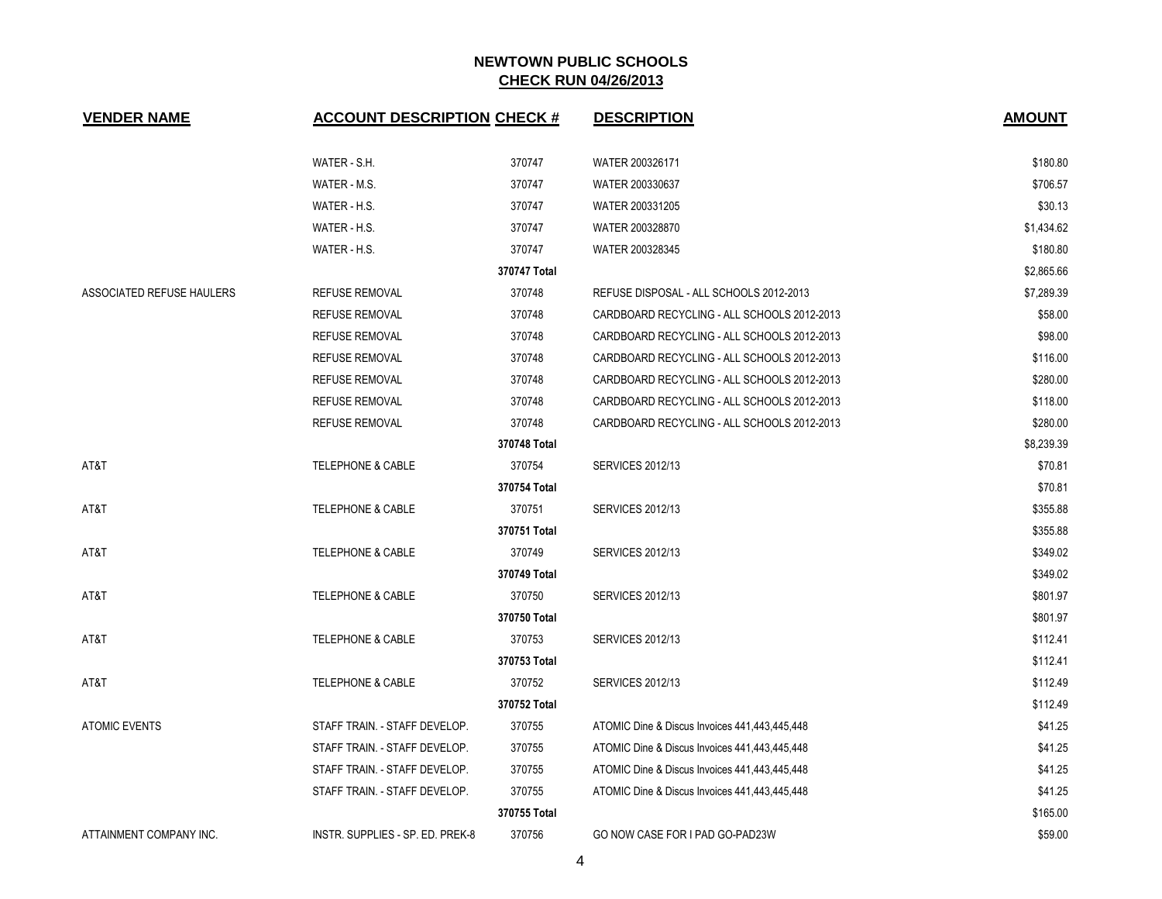| <b>VENDER NAME</b>        | <b>ACCOUNT DESCRIPTION CHECK #</b> |              | <b>DESCRIPTION</b>                            | <b>AMOUNT</b> |
|---------------------------|------------------------------------|--------------|-----------------------------------------------|---------------|
|                           | WATER - S.H.                       | 370747       | WATER 200326171                               | \$180.80      |
|                           | WATER - M.S.                       | 370747       | WATER 200330637                               | \$706.57      |
|                           | WATER - H.S.                       | 370747       | WATER 200331205                               | \$30.13       |
|                           | WATER - H.S.                       | 370747       | WATER 200328870                               | \$1,434.62    |
|                           | WATER - H.S.                       | 370747       | WATER 200328345                               | \$180.80      |
|                           |                                    | 370747 Total |                                               | \$2,865.66    |
| ASSOCIATED REFUSE HAULERS | <b>REFUSE REMOVAL</b>              | 370748       | REFUSE DISPOSAL - ALL SCHOOLS 2012-2013       | \$7,289.39    |
|                           | <b>REFUSE REMOVAL</b>              | 370748       | CARDBOARD RECYCLING - ALL SCHOOLS 2012-2013   | \$58.00       |
|                           | <b>REFUSE REMOVAL</b>              | 370748       | CARDBOARD RECYCLING - ALL SCHOOLS 2012-2013   | \$98.00       |
|                           | <b>REFUSE REMOVAL</b>              | 370748       | CARDBOARD RECYCLING - ALL SCHOOLS 2012-2013   | \$116.00      |
|                           | <b>REFUSE REMOVAL</b>              | 370748       | CARDBOARD RECYCLING - ALL SCHOOLS 2012-2013   | \$280.00      |
|                           | <b>REFUSE REMOVAL</b>              | 370748       | CARDBOARD RECYCLING - ALL SCHOOLS 2012-2013   | \$118.00      |
|                           | <b>REFUSE REMOVAL</b>              | 370748       | CARDBOARD RECYCLING - ALL SCHOOLS 2012-2013   | \$280.00      |
|                           |                                    | 370748 Total |                                               | \$8,239.39    |
| AT&T                      | <b>TELEPHONE &amp; CABLE</b>       | 370754       | <b>SERVICES 2012/13</b>                       | \$70.81       |
|                           |                                    | 370754 Total |                                               | \$70.81       |
| AT&T                      | <b>TELEPHONE &amp; CABLE</b>       | 370751       | <b>SERVICES 2012/13</b>                       | \$355.88      |
|                           |                                    | 370751 Total |                                               | \$355.88      |
| AT&T                      | <b>TELEPHONE &amp; CABLE</b>       | 370749       | <b>SERVICES 2012/13</b>                       | \$349.02      |
|                           |                                    | 370749 Total |                                               | \$349.02      |
| AT&T                      | <b>TELEPHONE &amp; CABLE</b>       | 370750       | <b>SERVICES 2012/13</b>                       | \$801.97      |
|                           |                                    | 370750 Total |                                               | \$801.97      |
| AT&T                      | <b>TELEPHONE &amp; CABLE</b>       | 370753       | <b>SERVICES 2012/13</b>                       | \$112.41      |
|                           |                                    | 370753 Total |                                               | \$112.41      |
| AT&T                      | <b>TELEPHONE &amp; CABLE</b>       | 370752       | <b>SERVICES 2012/13</b>                       | \$112.49      |
|                           |                                    | 370752 Total |                                               | \$112.49      |
| <b>ATOMIC EVENTS</b>      | STAFF TRAIN. - STAFF DEVELOP.      | 370755       | ATOMIC Dine & Discus Invoices 441,443,445,448 | \$41.25       |
|                           | STAFF TRAIN. - STAFF DEVELOP.      | 370755       | ATOMIC Dine & Discus Invoices 441,443,445,448 | \$41.25       |
|                           | STAFF TRAIN. - STAFF DEVELOP.      | 370755       | ATOMIC Dine & Discus Invoices 441,443,445,448 | \$41.25       |
|                           | STAFF TRAIN. - STAFF DEVELOP.      | 370755       | ATOMIC Dine & Discus Invoices 441,443,445,448 | \$41.25       |
|                           |                                    | 370755 Total |                                               | \$165.00      |
| ATTAINMENT COMPANY INC.   | INSTR. SUPPLIES - SP. ED. PREK-8   | 370756       | GO NOW CASE FOR I PAD GO-PAD23W               | \$59.00       |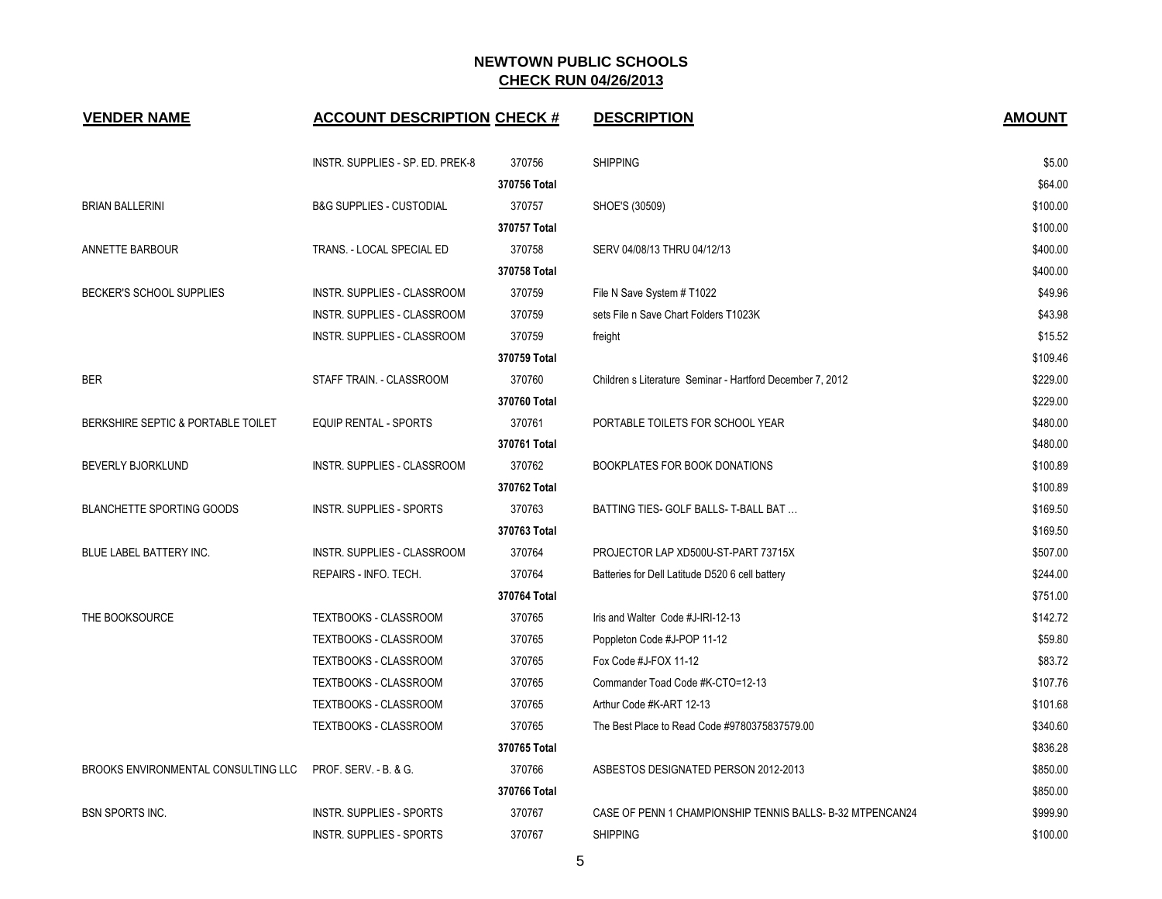| <b>VENDER NAME</b>                  | <b>ACCOUNT DESCRIPTION CHECK #</b>  |              | <b>DESCRIPTION</b>                                        | <b>AMOUNT</b> |
|-------------------------------------|-------------------------------------|--------------|-----------------------------------------------------------|---------------|
|                                     | INSTR. SUPPLIES - SP. ED. PREK-8    | 370756       | <b>SHIPPING</b>                                           | \$5.00        |
|                                     |                                     | 370756 Total |                                                           | \$64.00       |
| <b>BRIAN BALLERINI</b>              | <b>B&amp;G SUPPLIES - CUSTODIAL</b> | 370757       | SHOE'S (30509)                                            | \$100.00      |
|                                     |                                     | 370757 Total |                                                           | \$100.00      |
| <b>ANNETTE BARBOUR</b>              | TRANS. - LOCAL SPECIAL ED           | 370758       | SERV 04/08/13 THRU 04/12/13                               | \$400.00      |
|                                     |                                     | 370758 Total |                                                           | \$400.00      |
| BECKER'S SCHOOL SUPPLIES            | INSTR. SUPPLIES - CLASSROOM         | 370759       | File N Save System # T1022                                | \$49.96       |
|                                     | INSTR. SUPPLIES - CLASSROOM         | 370759       | sets File n Save Chart Folders T1023K                     | \$43.98       |
|                                     | INSTR. SUPPLIES - CLASSROOM         | 370759       | freight                                                   | \$15.52       |
|                                     |                                     | 370759 Total |                                                           | \$109.46      |
| <b>BER</b>                          | STAFF TRAIN. - CLASSROOM            | 370760       | Children s Literature Seminar - Hartford December 7, 2012 | \$229.00      |
|                                     |                                     | 370760 Total |                                                           | \$229.00      |
| BERKSHIRE SEPTIC & PORTABLE TOILET  | <b>EQUIP RENTAL - SPORTS</b>        | 370761       | PORTABLE TOILETS FOR SCHOOL YEAR                          | \$480.00      |
|                                     |                                     | 370761 Total |                                                           | \$480.00      |
| <b>BEVERLY BJORKLUND</b>            | <b>INSTR. SUPPLIES - CLASSROOM</b>  | 370762       | <b>BOOKPLATES FOR BOOK DONATIONS</b>                      | \$100.89      |
|                                     |                                     | 370762 Total |                                                           | \$100.89      |
| BLANCHETTE SPORTING GOODS           | INSTR. SUPPLIES - SPORTS            | 370763       | BATTING TIES- GOLF BALLS- T-BALL BAT                      | \$169.50      |
|                                     |                                     | 370763 Total |                                                           | \$169.50      |
| BLUE LABEL BATTERY INC.             | INSTR. SUPPLIES - CLASSROOM         | 370764       | PROJECTOR LAP XD500U-ST-PART 73715X                       | \$507.00      |
|                                     | REPAIRS - INFO. TECH.               | 370764       | Batteries for Dell Latitude D520 6 cell battery           | \$244.00      |
|                                     |                                     | 370764 Total |                                                           | \$751.00      |
| THE BOOKSOURCE                      | <b>TEXTBOOKS - CLASSROOM</b>        | 370765       | Iris and Walter Code #J-IRI-12-13                         | \$142.72      |
|                                     | TEXTBOOKS - CLASSROOM               | 370765       | Poppleton Code #J-POP 11-12                               | \$59.80       |
|                                     | TEXTBOOKS - CLASSROOM               | 370765       | Fox Code #J-FOX 11-12                                     | \$83.72       |
|                                     | TEXTBOOKS - CLASSROOM               | 370765       | Commander Toad Code #K-CTO=12-13                          | \$107.76      |
|                                     | <b>TEXTBOOKS - CLASSROOM</b>        | 370765       | Arthur Code #K-ART 12-13                                  | \$101.68      |
|                                     | <b>TEXTBOOKS - CLASSROOM</b>        | 370765       | The Best Place to Read Code #9780375837579.00             | \$340.60      |
|                                     |                                     | 370765 Total |                                                           | \$836.28      |
| BROOKS ENVIRONMENTAL CONSULTING LLC | <b>PROF. SERV. - B. &amp; G.</b>    | 370766       | ASBESTOS DESIGNATED PERSON 2012-2013                      | \$850.00      |
|                                     |                                     | 370766 Total |                                                           | \$850.00      |
| <b>BSN SPORTS INC.</b>              | <b>INSTR. SUPPLIES - SPORTS</b>     | 370767       | CASE OF PENN 1 CHAMPIONSHIP TENNIS BALLS- B-32 MTPENCAN24 | \$999.90      |
|                                     | <b>INSTR. SUPPLIES - SPORTS</b>     | 370767       | <b>SHIPPING</b>                                           | \$100.00      |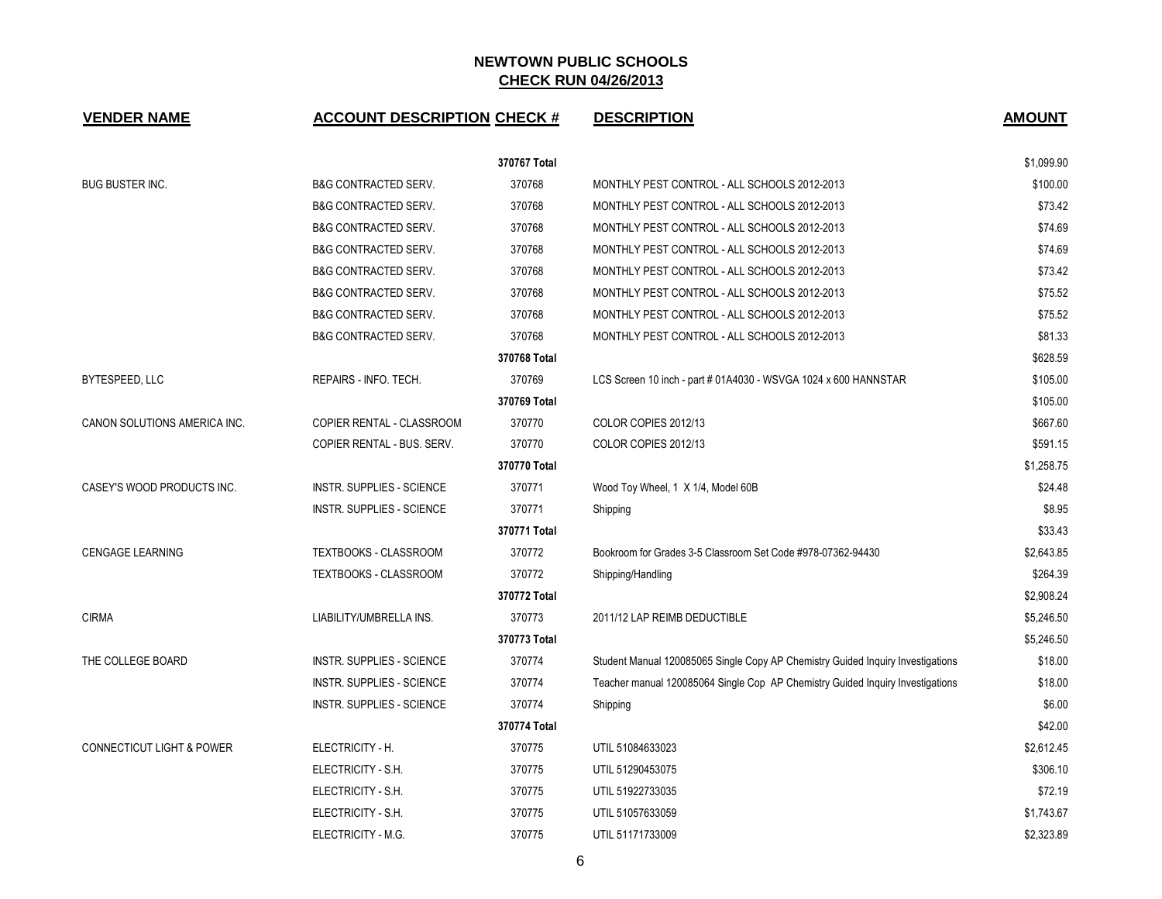| <b>VENDER NAME</b>                   | <b>ACCOUNT DESCRIPTION CHECK #</b> |              | <b>DESCRIPTION</b>                                                              | <b>AMOUNT</b> |
|--------------------------------------|------------------------------------|--------------|---------------------------------------------------------------------------------|---------------|
|                                      |                                    | 370767 Total |                                                                                 | \$1,099.90    |
| <b>BUG BUSTER INC.</b>               | <b>B&amp;G CONTRACTED SERV.</b>    | 370768       | MONTHLY PEST CONTROL - ALL SCHOOLS 2012-2013                                    | \$100.00      |
|                                      | <b>B&amp;G CONTRACTED SERV.</b>    | 370768       | MONTHLY PEST CONTROL - ALL SCHOOLS 2012-2013                                    | \$73.42       |
|                                      | <b>B&amp;G CONTRACTED SERV.</b>    | 370768       | MONTHLY PEST CONTROL - ALL SCHOOLS 2012-2013                                    | \$74.69       |
|                                      | <b>B&amp;G CONTRACTED SERV.</b>    | 370768       | MONTHLY PEST CONTROL - ALL SCHOOLS 2012-2013                                    | \$74.69       |
|                                      | <b>B&amp;G CONTRACTED SERV.</b>    | 370768       | MONTHLY PEST CONTROL - ALL SCHOOLS 2012-2013                                    | \$73.42       |
|                                      | <b>B&amp;G CONTRACTED SERV.</b>    | 370768       | MONTHLY PEST CONTROL - ALL SCHOOLS 2012-2013                                    | \$75.52       |
|                                      | B&G CONTRACTED SERV.               | 370768       | MONTHLY PEST CONTROL - ALL SCHOOLS 2012-2013                                    | \$75.52       |
|                                      | <b>B&amp;G CONTRACTED SERV.</b>    | 370768       | MONTHLY PEST CONTROL - ALL SCHOOLS 2012-2013                                    | \$81.33       |
|                                      |                                    | 370768 Total |                                                                                 | \$628.59      |
| BYTESPEED, LLC                       | REPAIRS - INFO. TECH.              | 370769       | LCS Screen 10 inch - part # 01A4030 - WSVGA 1024 x 600 HANNSTAR                 | \$105.00      |
|                                      |                                    | 370769 Total |                                                                                 | \$105.00      |
| CANON SOLUTIONS AMERICA INC.         | COPIER RENTAL - CLASSROOM          | 370770       | COLOR COPIES 2012/13                                                            | \$667.60      |
|                                      | COPIER RENTAL - BUS. SERV.         | 370770       | COLOR COPIES 2012/13                                                            | \$591.15      |
|                                      |                                    | 370770 Total |                                                                                 | \$1,258.75    |
| CASEY'S WOOD PRODUCTS INC.           | <b>INSTR. SUPPLIES - SCIENCE</b>   | 370771       | Wood Toy Wheel, 1 X 1/4, Model 60B                                              | \$24.48       |
|                                      | <b>INSTR. SUPPLIES - SCIENCE</b>   | 370771       | Shipping                                                                        | \$8.95        |
|                                      |                                    | 370771 Total |                                                                                 | \$33.43       |
| <b>CENGAGE LEARNING</b>              | TEXTBOOKS - CLASSROOM              | 370772       | Bookroom for Grades 3-5 Classroom Set Code #978-07362-94430                     | \$2,643.85    |
|                                      | TEXTBOOKS - CLASSROOM              | 370772       | Shipping/Handling                                                               | \$264.39      |
|                                      |                                    | 370772 Total |                                                                                 | \$2,908.24    |
| <b>CIRMA</b>                         | LIABILITY/UMBRELLA INS.            | 370773       | 2011/12 LAP REIMB DEDUCTIBLE                                                    | \$5,246.50    |
|                                      |                                    | 370773 Total |                                                                                 | \$5,246.50    |
| THE COLLEGE BOARD                    | INSTR. SUPPLIES - SCIENCE          | 370774       | Student Manual 120085065 Single Copy AP Chemistry Guided Inquiry Investigations | \$18.00       |
|                                      | <b>INSTR. SUPPLIES - SCIENCE</b>   | 370774       | Teacher manual 120085064 Single Cop AP Chemistry Guided Inquiry Investigations  | \$18.00       |
|                                      | <b>INSTR. SUPPLIES - SCIENCE</b>   | 370774       | Shipping                                                                        | \$6.00        |
|                                      |                                    | 370774 Total |                                                                                 | \$42.00       |
| <b>CONNECTICUT LIGHT &amp; POWER</b> | ELECTRICITY - H.                   | 370775       | UTIL 51084633023                                                                | \$2,612.45    |
|                                      | ELECTRICITY - S.H.                 | 370775       | UTIL 51290453075                                                                | \$306.10      |
|                                      | ELECTRICITY - S.H.                 | 370775       | UTIL 51922733035                                                                | \$72.19       |
|                                      | ELECTRICITY - S.H.                 | 370775       | UTIL 51057633059                                                                | \$1,743.67    |
|                                      | ELECTRICITY - M.G.                 | 370775       | UTIL 51171733009                                                                | \$2,323.89    |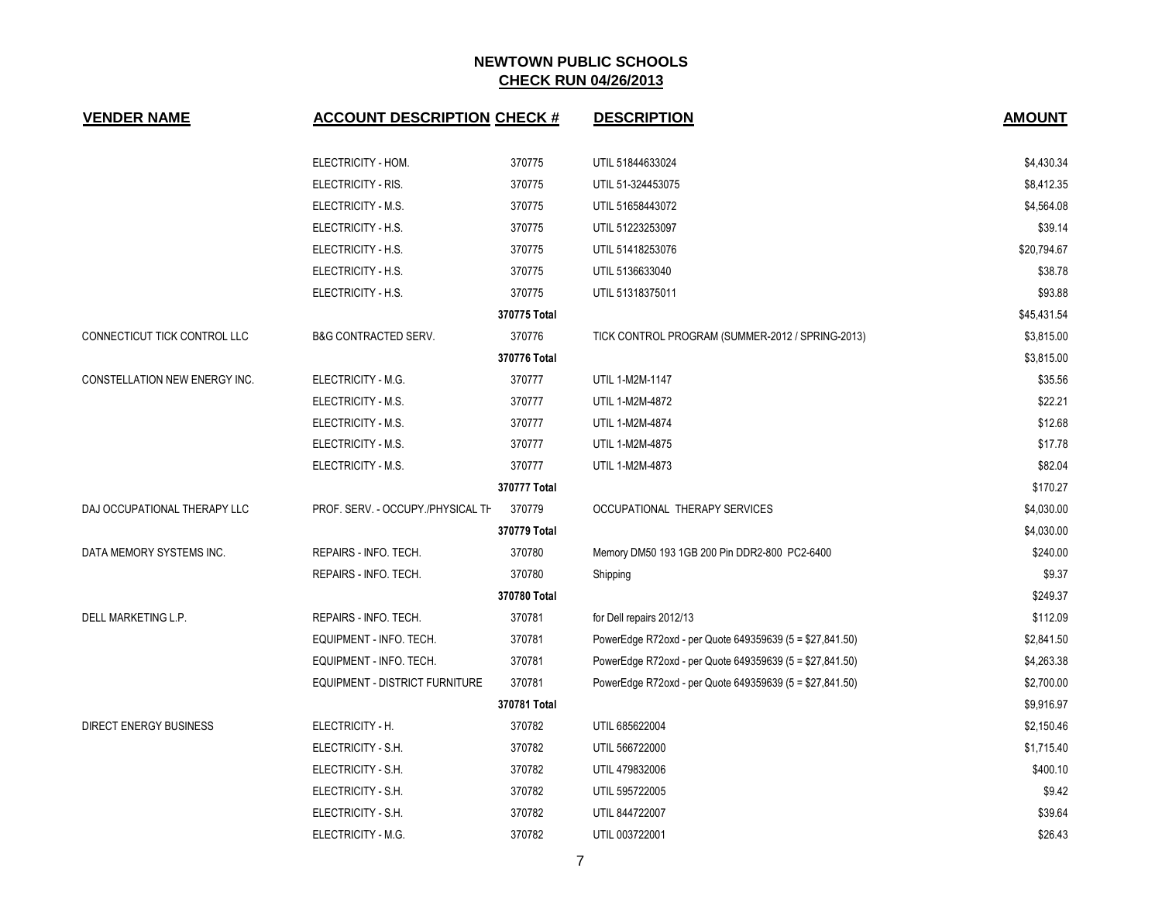| <b>VENDER NAME</b>            | <b>ACCOUNT DESCRIPTION CHECK #</b> |              | <b>DESCRIPTION</b>                                       | <b>AMOUNT</b> |
|-------------------------------|------------------------------------|--------------|----------------------------------------------------------|---------------|
|                               | ELECTRICITY - HOM.                 | 370775       | UTIL 51844633024                                         | \$4,430.34    |
|                               | ELECTRICITY - RIS.                 | 370775       | UTIL 51-324453075                                        | \$8,412.35    |
|                               | ELECTRICITY - M.S.                 | 370775       | UTIL 51658443072                                         | \$4,564.08    |
|                               | ELECTRICITY - H.S.                 | 370775       | UTIL 51223253097                                         | \$39.14       |
|                               | ELECTRICITY - H.S.                 | 370775       | UTIL 51418253076                                         | \$20,794.67   |
|                               | ELECTRICITY - H.S.                 | 370775       | UTIL 5136633040                                          | \$38.78       |
|                               | ELECTRICITY - H.S.                 | 370775       | UTIL 51318375011                                         | \$93.88       |
|                               |                                    | 370775 Total |                                                          | \$45,431.54   |
| CONNECTICUT TICK CONTROL LLC  | <b>B&amp;G CONTRACTED SERV.</b>    | 370776       | TICK CONTROL PROGRAM (SUMMER-2012 / SPRING-2013)         | \$3,815.00    |
|                               |                                    | 370776 Total |                                                          | \$3,815.00    |
| CONSTELLATION NEW ENERGY INC. | ELECTRICITY - M.G.                 | 370777       | UTIL 1-M2M-1147                                          | \$35.56       |
|                               | ELECTRICITY - M.S.                 | 370777       | UTIL 1-M2M-4872                                          | \$22.21       |
|                               | ELECTRICITY - M.S.                 | 370777       | UTIL 1-M2M-4874                                          | \$12.68       |
|                               | ELECTRICITY - M.S.                 | 370777       | UTIL 1-M2M-4875                                          | \$17.78       |
|                               | ELECTRICITY - M.S.                 | 370777       | UTIL 1-M2M-4873                                          | \$82.04       |
|                               |                                    | 370777 Total |                                                          | \$170.27      |
| DAJ OCCUPATIONAL THERAPY LLC  | PROF. SERV. - OCCUPY./PHYSICAL TH  | 370779       | OCCUPATIONAL THERAPY SERVICES                            | \$4,030.00    |
|                               |                                    | 370779 Total |                                                          | \$4,030.00    |
| DATA MEMORY SYSTEMS INC.      | REPAIRS - INFO. TECH.              | 370780       | Memory DM50 193 1GB 200 Pin DDR2-800 PC2-6400            | \$240.00      |
|                               | REPAIRS - INFO. TECH.              | 370780       | Shipping                                                 | \$9.37        |
|                               |                                    | 370780 Total |                                                          | \$249.37      |
| DELL MARKETING L.P.           | REPAIRS - INFO. TECH.              | 370781       | for Dell repairs 2012/13                                 | \$112.09      |
|                               | EQUIPMENT - INFO. TECH.            | 370781       | PowerEdge R72oxd - per Quote 649359639 (5 = \$27,841.50) | \$2,841.50    |
|                               | EQUIPMENT - INFO. TECH.            | 370781       | PowerEdge R72oxd - per Quote 649359639 (5 = \$27,841.50) | \$4,263.38    |
|                               | EQUIPMENT - DISTRICT FURNITURE     | 370781       | PowerEdge R72oxd - per Quote 649359639 (5 = \$27,841.50) | \$2,700.00    |
|                               |                                    | 370781 Total |                                                          | \$9,916.97    |
| DIRECT ENERGY BUSINESS        | ELECTRICITY - H.                   | 370782       | UTIL 685622004                                           | \$2,150.46    |
|                               | ELECTRICITY - S.H.                 | 370782       | UTIL 566722000                                           | \$1,715.40    |
|                               | ELECTRICITY - S.H.                 | 370782       | UTIL 479832006                                           | \$400.10      |
|                               | ELECTRICITY - S.H.                 | 370782       | UTIL 595722005                                           | \$9.42        |
|                               | ELECTRICITY - S.H.                 | 370782       | UTIL 844722007                                           | \$39.64       |
|                               | ELECTRICITY - M.G.                 | 370782       | UTIL 003722001                                           | \$26.43       |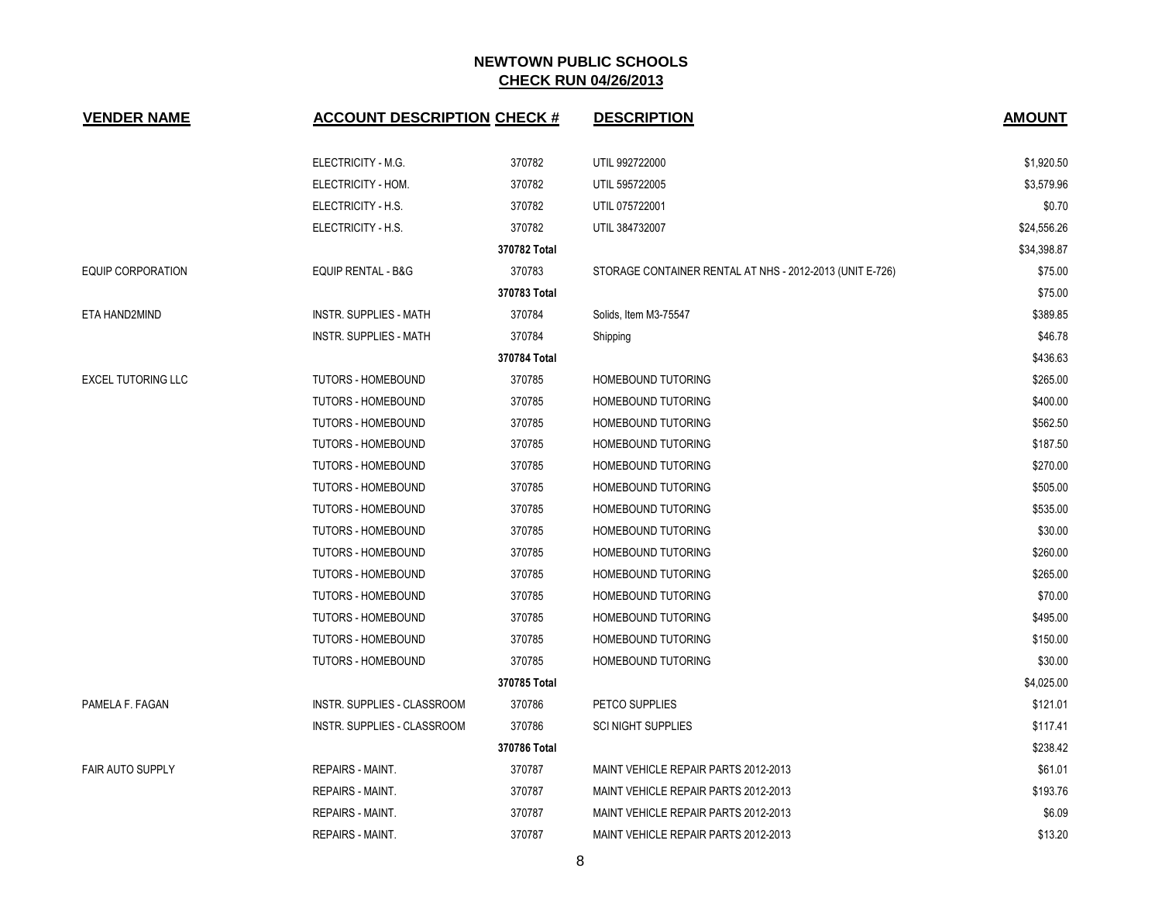| <b>VENDER NAME</b>        | <b>ACCOUNT DESCRIPTION CHECK #</b> |              | <b>DESCRIPTION</b>                                       | <b>AMOUNT</b> |
|---------------------------|------------------------------------|--------------|----------------------------------------------------------|---------------|
|                           | ELECTRICITY - M.G.                 | 370782       | UTIL 992722000                                           | \$1,920.50    |
|                           | ELECTRICITY - HOM.                 | 370782       | UTIL 595722005                                           | \$3,579.96    |
|                           | ELECTRICITY - H.S.                 | 370782       | UTIL 075722001                                           | \$0.70        |
|                           | ELECTRICITY - H.S.                 | 370782       | UTIL 384732007                                           | \$24,556.26   |
|                           |                                    | 370782 Total |                                                          | \$34,398.87   |
| <b>EQUIP CORPORATION</b>  | EQUIP RENTAL - B&G                 | 370783       | STORAGE CONTAINER RENTAL AT NHS - 2012-2013 (UNIT E-726) | \$75.00       |
|                           |                                    | 370783 Total |                                                          | \$75.00       |
| ETA HAND2MIND             | <b>INSTR. SUPPLIES - MATH</b>      | 370784       | Solids, Item M3-75547                                    | \$389.85      |
|                           | <b>INSTR. SUPPLIES - MATH</b>      | 370784       | Shipping                                                 | \$46.78       |
|                           |                                    | 370784 Total |                                                          | \$436.63      |
| <b>EXCEL TUTORING LLC</b> | TUTORS - HOMEBOUND                 | 370785       | <b>HOMEBOUND TUTORING</b>                                | \$265.00      |
|                           | TUTORS - HOMEBOUND                 | 370785       | HOMEBOUND TUTORING                                       | \$400.00      |
|                           | TUTORS - HOMEBOUND                 | 370785       | <b>HOMEBOUND TUTORING</b>                                | \$562.50      |
|                           | <b>TUTORS - HOMEBOUND</b>          | 370785       | <b>HOMEBOUND TUTORING</b>                                | \$187.50      |
|                           | <b>TUTORS - HOMEBOUND</b>          | 370785       | <b>HOMEBOUND TUTORING</b>                                | \$270.00      |
|                           | TUTORS - HOMEBOUND                 | 370785       | <b>HOMEBOUND TUTORING</b>                                | \$505.00      |
|                           | <b>TUTORS - HOMEBOUND</b>          | 370785       | <b>HOMEBOUND TUTORING</b>                                | \$535.00      |
|                           | <b>TUTORS - HOMEBOUND</b>          | 370785       | <b>HOMEBOUND TUTORING</b>                                | \$30.00       |
|                           | TUTORS - HOMEBOUND                 | 370785       | HOMEBOUND TUTORING                                       | \$260.00      |
|                           | TUTORS - HOMEBOUND                 | 370785       | <b>HOMEBOUND TUTORING</b>                                | \$265.00      |
|                           | <b>TUTORS - HOMEBOUND</b>          | 370785       | <b>HOMEBOUND TUTORING</b>                                | \$70.00       |
|                           | TUTORS - HOMEBOUND                 | 370785       | HOMEBOUND TUTORING                                       | \$495.00      |
|                           | <b>TUTORS - HOMEBOUND</b>          | 370785       | <b>HOMEBOUND TUTORING</b>                                | \$150.00      |
|                           | TUTORS - HOMEBOUND                 | 370785       | HOMEBOUND TUTORING                                       | \$30.00       |
|                           |                                    | 370785 Total |                                                          | \$4,025.00    |
| PAMELA F. FAGAN           | INSTR. SUPPLIES - CLASSROOM        | 370786       | PETCO SUPPLIES                                           | \$121.01      |
|                           | INSTR. SUPPLIES - CLASSROOM        | 370786       | <b>SCI NIGHT SUPPLIES</b>                                | \$117.41      |
|                           |                                    | 370786 Total |                                                          | \$238.42      |
| <b>FAIR AUTO SUPPLY</b>   | <b>REPAIRS - MAINT.</b>            | 370787       | MAINT VEHICLE REPAIR PARTS 2012-2013                     | \$61.01       |
|                           | REPAIRS - MAINT.                   | 370787       | MAINT VEHICLE REPAIR PARTS 2012-2013                     | \$193.76      |
|                           | <b>REPAIRS - MAINT.</b>            | 370787       | MAINT VEHICLE REPAIR PARTS 2012-2013                     | \$6.09        |
|                           | <b>REPAIRS - MAINT.</b>            | 370787       | MAINT VEHICLE REPAIR PARTS 2012-2013                     | \$13.20       |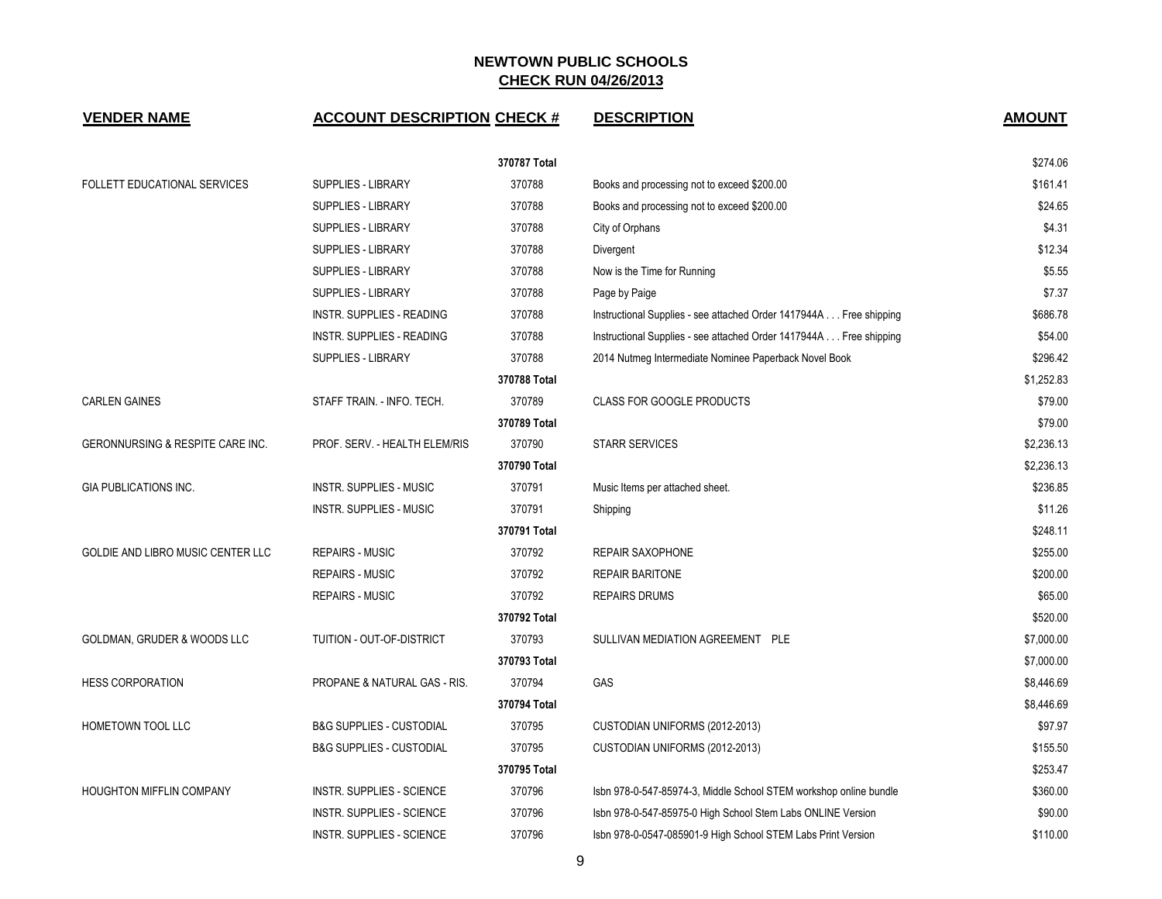| <b>VENDER NAME</b>                       | <b>ACCOUNT DESCRIPTION CHECK #</b>  |              | <b>DESCRIPTION</b>                                                 | <b>AMOUNT</b> |
|------------------------------------------|-------------------------------------|--------------|--------------------------------------------------------------------|---------------|
|                                          |                                     | 370787 Total |                                                                    | \$274.06      |
| <b>FOLLETT EDUCATIONAL SERVICES</b>      | <b>SUPPLIES - LIBRARY</b>           | 370788       | Books and processing not to exceed \$200.00                        | \$161.41      |
|                                          | SUPPLIES - LIBRARY                  | 370788       | Books and processing not to exceed \$200.00                        | \$24.65       |
|                                          | SUPPLIES - LIBRARY                  | 370788       | City of Orphans                                                    | \$4.31        |
|                                          | <b>SUPPLIES - LIBRARY</b>           | 370788       | Divergent                                                          | \$12.34       |
|                                          | <b>SUPPLIES - LIBRARY</b>           | 370788       | Now is the Time for Running                                        | \$5.55        |
|                                          | SUPPLIES - LIBRARY                  | 370788       | Page by Paige                                                      | \$7.37        |
|                                          | INSTR. SUPPLIES - READING           | 370788       | Instructional Supplies - see attached Order 1417944A Free shipping | \$686.78      |
|                                          | INSTR. SUPPLIES - READING           | 370788       | Instructional Supplies - see attached Order 1417944A Free shipping | \$54.00       |
|                                          | SUPPLIES - LIBRARY                  | 370788       | 2014 Nutmeg Intermediate Nominee Paperback Novel Book              | \$296.42      |
|                                          |                                     | 370788 Total |                                                                    | \$1,252.83    |
| <b>CARLEN GAINES</b>                     | STAFF TRAIN. - INFO. TECH.          | 370789       | <b>CLASS FOR GOOGLE PRODUCTS</b>                                   | \$79.00       |
|                                          |                                     | 370789 Total |                                                                    | \$79.00       |
| GERONNURSING & RESPITE CARE INC.         | PROF. SERV. - HEALTH ELEM/RIS       | 370790       | <b>STARR SERVICES</b>                                              | \$2,236.13    |
|                                          |                                     | 370790 Total |                                                                    | \$2,236.13    |
| GIA PUBLICATIONS INC.                    | INSTR. SUPPLIES - MUSIC             | 370791       | Music Items per attached sheet.                                    | \$236.85      |
|                                          | INSTR. SUPPLIES - MUSIC             | 370791       | Shipping                                                           | \$11.26       |
|                                          |                                     | 370791 Total |                                                                    | \$248.11      |
| <b>GOLDIE AND LIBRO MUSIC CENTER LLC</b> | <b>REPAIRS - MUSIC</b>              | 370792       | <b>REPAIR SAXOPHONE</b>                                            | \$255.00      |
|                                          | <b>REPAIRS - MUSIC</b>              | 370792       | <b>REPAIR BARITONE</b>                                             | \$200.00      |
|                                          | <b>REPAIRS - MUSIC</b>              | 370792       | <b>REPAIRS DRUMS</b>                                               | \$65.00       |
|                                          |                                     | 370792 Total |                                                                    | \$520.00      |
| GOLDMAN, GRUDER & WOODS LLC              | TUITION - OUT-OF-DISTRICT           | 370793       | SULLIVAN MEDIATION AGREEMENT PLE                                   | \$7,000.00    |
|                                          |                                     | 370793 Total |                                                                    | \$7,000.00    |
| <b>HESS CORPORATION</b>                  | PROPANE & NATURAL GAS - RIS.        | 370794       | GAS                                                                | \$8,446.69    |
|                                          |                                     | 370794 Total |                                                                    | \$8,446.69    |
| HOMETOWN TOOL LLC                        | <b>B&amp;G SUPPLIES - CUSTODIAL</b> | 370795       | CUSTODIAN UNIFORMS (2012-2013)                                     | \$97.97       |
|                                          | <b>B&amp;G SUPPLIES - CUSTODIAL</b> | 370795       | CUSTODIAN UNIFORMS (2012-2013)                                     | \$155.50      |
|                                          |                                     | 370795 Total |                                                                    | \$253.47      |
| <b>HOUGHTON MIFFLIN COMPANY</b>          | INSTR. SUPPLIES - SCIENCE           | 370796       | Isbn 978-0-547-85974-3, Middle School STEM workshop online bundle  | \$360.00      |
|                                          | INSTR. SUPPLIES - SCIENCE           | 370796       | Isbn 978-0-547-85975-0 High School Stem Labs ONLINE Version        | \$90.00       |
|                                          | INSTR. SUPPLIES - SCIENCE           | 370796       | Isbn 978-0-0547-085901-9 High School STEM Labs Print Version       | \$110.00      |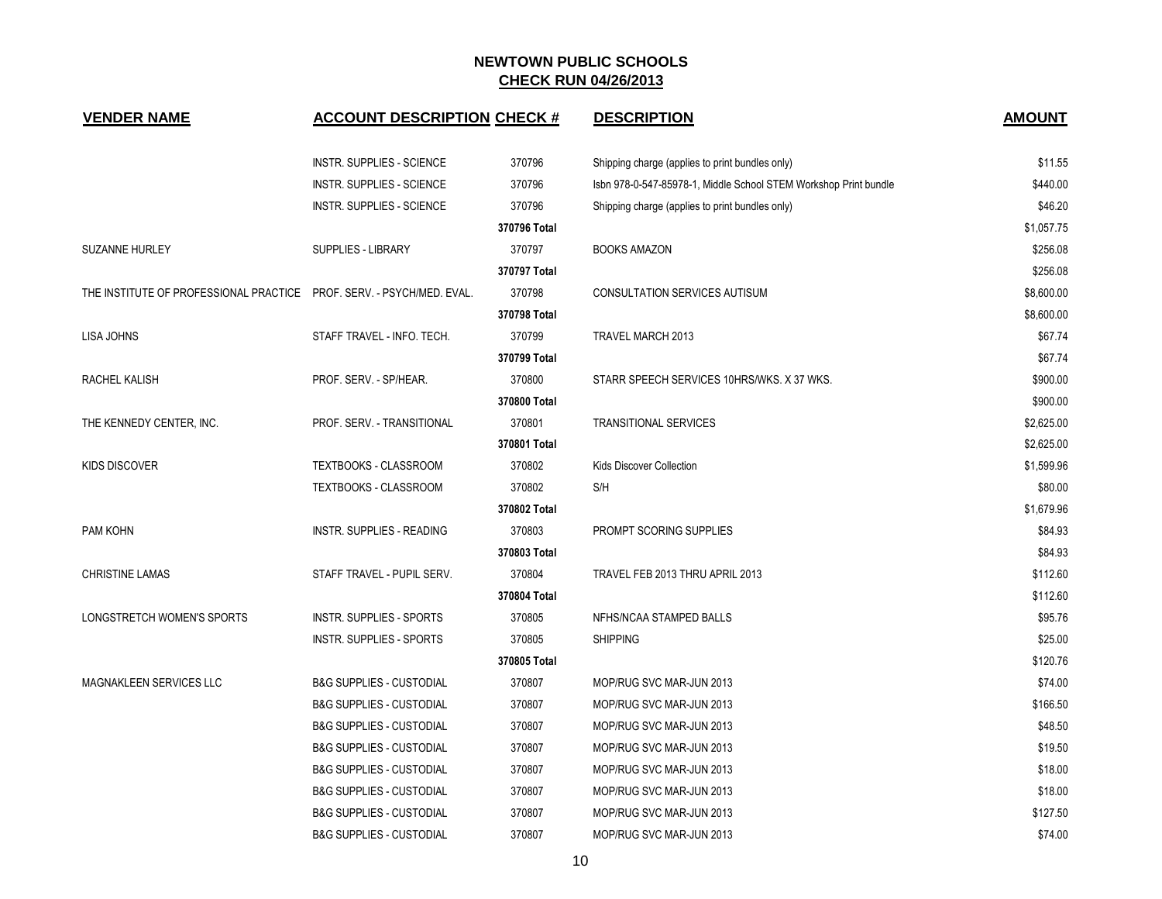| <b>VENDER NAME</b>                                                    | <b>ACCOUNT DESCRIPTION CHECK #</b>  |              | <b>DESCRIPTION</b>                                               | <b>AMOUNT</b> |
|-----------------------------------------------------------------------|-------------------------------------|--------------|------------------------------------------------------------------|---------------|
|                                                                       | <b>INSTR. SUPPLIES - SCIENCE</b>    | 370796       | Shipping charge (applies to print bundles only)                  | \$11.55       |
|                                                                       | <b>INSTR. SUPPLIES - SCIENCE</b>    | 370796       | Isbn 978-0-547-85978-1, Middle School STEM Workshop Print bundle | \$440.00      |
|                                                                       | <b>INSTR. SUPPLIES - SCIENCE</b>    | 370796       | Shipping charge (applies to print bundles only)                  | \$46.20       |
|                                                                       |                                     | 370796 Total |                                                                  | \$1,057.75    |
| SUZANNE HURLEY                                                        | <b>SUPPLIES - LIBRARY</b>           | 370797       | <b>BOOKS AMAZON</b>                                              | \$256.08      |
|                                                                       |                                     | 370797 Total |                                                                  | \$256.08      |
| THE INSTITUTE OF PROFESSIONAL PRACTICE PROF. SERV. - PSYCH/MED. EVAL. |                                     | 370798       | <b>CONSULTATION SERVICES AUTISUM</b>                             | \$8,600.00    |
|                                                                       |                                     | 370798 Total |                                                                  | \$8,600.00    |
| LISA JOHNS                                                            | STAFF TRAVEL - INFO. TECH.          | 370799       | TRAVEL MARCH 2013                                                | \$67.74       |
|                                                                       |                                     | 370799 Total |                                                                  | \$67.74       |
| RACHEL KALISH                                                         | PROF. SERV. - SP/HEAR.              | 370800       | STARR SPEECH SERVICES 10HRS/WKS. X 37 WKS.                       | \$900.00      |
|                                                                       |                                     | 370800 Total |                                                                  | \$900.00      |
| THE KENNEDY CENTER, INC.                                              | PROF. SERV. - TRANSITIONAL          | 370801       | <b>TRANSITIONAL SERVICES</b>                                     | \$2,625.00    |
|                                                                       |                                     | 370801 Total |                                                                  | \$2,625.00    |
| KIDS DISCOVER                                                         | TEXTBOOKS - CLASSROOM               | 370802       | <b>Kids Discover Collection</b>                                  | \$1,599.96    |
|                                                                       | <b>TEXTBOOKS - CLASSROOM</b>        | 370802       | S/H                                                              | \$80.00       |
|                                                                       |                                     | 370802 Total |                                                                  | \$1,679.96    |
| PAM KOHN                                                              | INSTR. SUPPLIES - READING           | 370803       | PROMPT SCORING SUPPLIES                                          | \$84.93       |
|                                                                       |                                     | 370803 Total |                                                                  | \$84.93       |
| <b>CHRISTINE LAMAS</b>                                                | STAFF TRAVEL - PUPIL SERV.          | 370804       | TRAVEL FEB 2013 THRU APRIL 2013                                  | \$112.60      |
|                                                                       |                                     | 370804 Total |                                                                  | \$112.60      |
| LONGSTRETCH WOMEN'S SPORTS                                            | <b>INSTR. SUPPLIES - SPORTS</b>     | 370805       | NFHS/NCAA STAMPED BALLS                                          | \$95.76       |
|                                                                       | <b>INSTR. SUPPLIES - SPORTS</b>     | 370805       | <b>SHIPPING</b>                                                  | \$25.00       |
|                                                                       |                                     | 370805 Total |                                                                  | \$120.76      |
| <b>MAGNAKLEEN SERVICES LLC</b>                                        | <b>B&amp;G SUPPLIES - CUSTODIAL</b> | 370807       | MOP/RUG SVC MAR-JUN 2013                                         | \$74.00       |
|                                                                       | <b>B&amp;G SUPPLIES - CUSTODIAL</b> | 370807       | MOP/RUG SVC MAR-JUN 2013                                         | \$166.50      |
|                                                                       | <b>B&amp;G SUPPLIES - CUSTODIAL</b> | 370807       | MOP/RUG SVC MAR-JUN 2013                                         | \$48.50       |
|                                                                       | <b>B&amp;G SUPPLIES - CUSTODIAL</b> | 370807       | MOP/RUG SVC MAR-JUN 2013                                         | \$19.50       |
|                                                                       | <b>B&amp;G SUPPLIES - CUSTODIAL</b> | 370807       | MOP/RUG SVC MAR-JUN 2013                                         | \$18.00       |
|                                                                       | <b>B&amp;G SUPPLIES - CUSTODIAL</b> | 370807       | MOP/RUG SVC MAR-JUN 2013                                         | \$18.00       |
|                                                                       | <b>B&amp;G SUPPLIES - CUSTODIAL</b> | 370807       | MOP/RUG SVC MAR-JUN 2013                                         | \$127.50      |
|                                                                       | <b>B&amp;G SUPPLIES - CUSTODIAL</b> | 370807       | MOP/RUG SVC MAR-JUN 2013                                         | \$74.00       |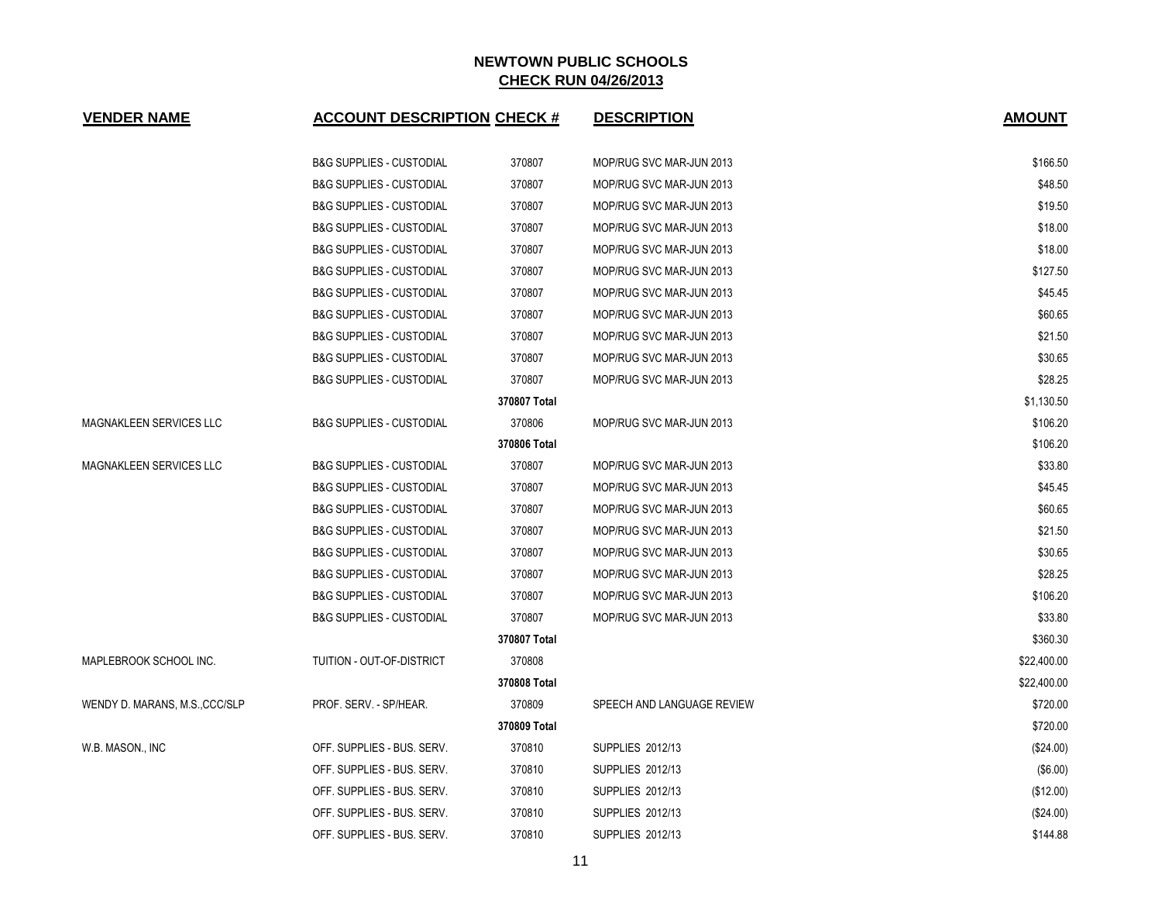| <b>VENDER NAME</b>             | <b>ACCOUNT DESCRIPTION CHECK #</b>  |              | <b>DESCRIPTION</b>         | <b>AMOUNT</b> |
|--------------------------------|-------------------------------------|--------------|----------------------------|---------------|
|                                | <b>B&amp;G SUPPLIES - CUSTODIAL</b> | 370807       | MOP/RUG SVC MAR-JUN 2013   | \$166.50      |
|                                | <b>B&amp;G SUPPLIES - CUSTODIAL</b> | 370807       | MOP/RUG SVC MAR-JUN 2013   | \$48.50       |
|                                | <b>B&amp;G SUPPLIES - CUSTODIAL</b> | 370807       | MOP/RUG SVC MAR-JUN 2013   | \$19.50       |
|                                | <b>B&amp;G SUPPLIES - CUSTODIAL</b> | 370807       | MOP/RUG SVC MAR-JUN 2013   | \$18.00       |
|                                | <b>B&amp;G SUPPLIES - CUSTODIAL</b> | 370807       | MOP/RUG SVC MAR-JUN 2013   | \$18.00       |
|                                | <b>B&amp;G SUPPLIES - CUSTODIAL</b> | 370807       | MOP/RUG SVC MAR-JUN 2013   | \$127.50      |
|                                | <b>B&amp;G SUPPLIES - CUSTODIAL</b> | 370807       | MOP/RUG SVC MAR-JUN 2013   | \$45.45       |
|                                | <b>B&amp;G SUPPLIES - CUSTODIAL</b> | 370807       | MOP/RUG SVC MAR-JUN 2013   | \$60.65       |
|                                | <b>B&amp;G SUPPLIES - CUSTODIAL</b> | 370807       | MOP/RUG SVC MAR-JUN 2013   | \$21.50       |
|                                | <b>B&amp;G SUPPLIES - CUSTODIAL</b> | 370807       | MOP/RUG SVC MAR-JUN 2013   | \$30.65       |
|                                | <b>B&amp;G SUPPLIES - CUSTODIAL</b> | 370807       | MOP/RUG SVC MAR-JUN 2013   | \$28.25       |
|                                |                                     | 370807 Total |                            | \$1,130.50    |
| <b>MAGNAKLEEN SERVICES LLC</b> | <b>B&amp;G SUPPLIES - CUSTODIAL</b> | 370806       | MOP/RUG SVC MAR-JUN 2013   | \$106.20      |
|                                |                                     | 370806 Total |                            | \$106.20      |
| MAGNAKLEEN SERVICES LLC        | <b>B&amp;G SUPPLIES - CUSTODIAL</b> | 370807       | MOP/RUG SVC MAR-JUN 2013   | \$33.80       |
|                                | <b>B&amp;G SUPPLIES - CUSTODIAL</b> | 370807       | MOP/RUG SVC MAR-JUN 2013   | \$45.45       |
|                                | <b>B&amp;G SUPPLIES - CUSTODIAL</b> | 370807       | MOP/RUG SVC MAR-JUN 2013   | \$60.65       |
|                                | <b>B&amp;G SUPPLIES - CUSTODIAL</b> | 370807       | MOP/RUG SVC MAR-JUN 2013   | \$21.50       |
|                                | <b>B&amp;G SUPPLIES - CUSTODIAL</b> | 370807       | MOP/RUG SVC MAR-JUN 2013   | \$30.65       |
|                                | <b>B&amp;G SUPPLIES - CUSTODIAL</b> | 370807       | MOP/RUG SVC MAR-JUN 2013   | \$28.25       |
|                                | <b>B&amp;G SUPPLIES - CUSTODIAL</b> | 370807       | MOP/RUG SVC MAR-JUN 2013   | \$106.20      |
|                                | <b>B&amp;G SUPPLIES - CUSTODIAL</b> | 370807       | MOP/RUG SVC MAR-JUN 2013   | \$33.80       |
|                                |                                     | 370807 Total |                            | \$360.30      |
| MAPLEBROOK SCHOOL INC.         | TUITION - OUT-OF-DISTRICT           | 370808       |                            | \$22,400.00   |
|                                |                                     | 370808 Total |                            | \$22,400.00   |
| WENDY D. MARANS, M.S., CCC/SLP | PROF. SERV. - SP/HEAR.              | 370809       | SPEECH AND LANGUAGE REVIEW | \$720.00      |
|                                |                                     | 370809 Total |                            | \$720.00      |
| W.B. MASON., INC               | OFF. SUPPLIES - BUS. SERV.          | 370810       | <b>SUPPLIES 2012/13</b>    | $(\$24.00)$   |
|                                | OFF. SUPPLIES - BUS. SERV.          | 370810       | <b>SUPPLIES 2012/13</b>    | $($ \$6.00)   |
|                                | OFF. SUPPLIES - BUS. SERV.          | 370810       | <b>SUPPLIES 2012/13</b>    | (\$12.00)     |
|                                | OFF. SUPPLIES - BUS. SERV.          | 370810       | SUPPLIES 2012/13           | (\$24.00)     |
|                                | OFF. SUPPLIES - BUS. SERV.          | 370810       | SUPPLIES 2012/13           | \$144.88      |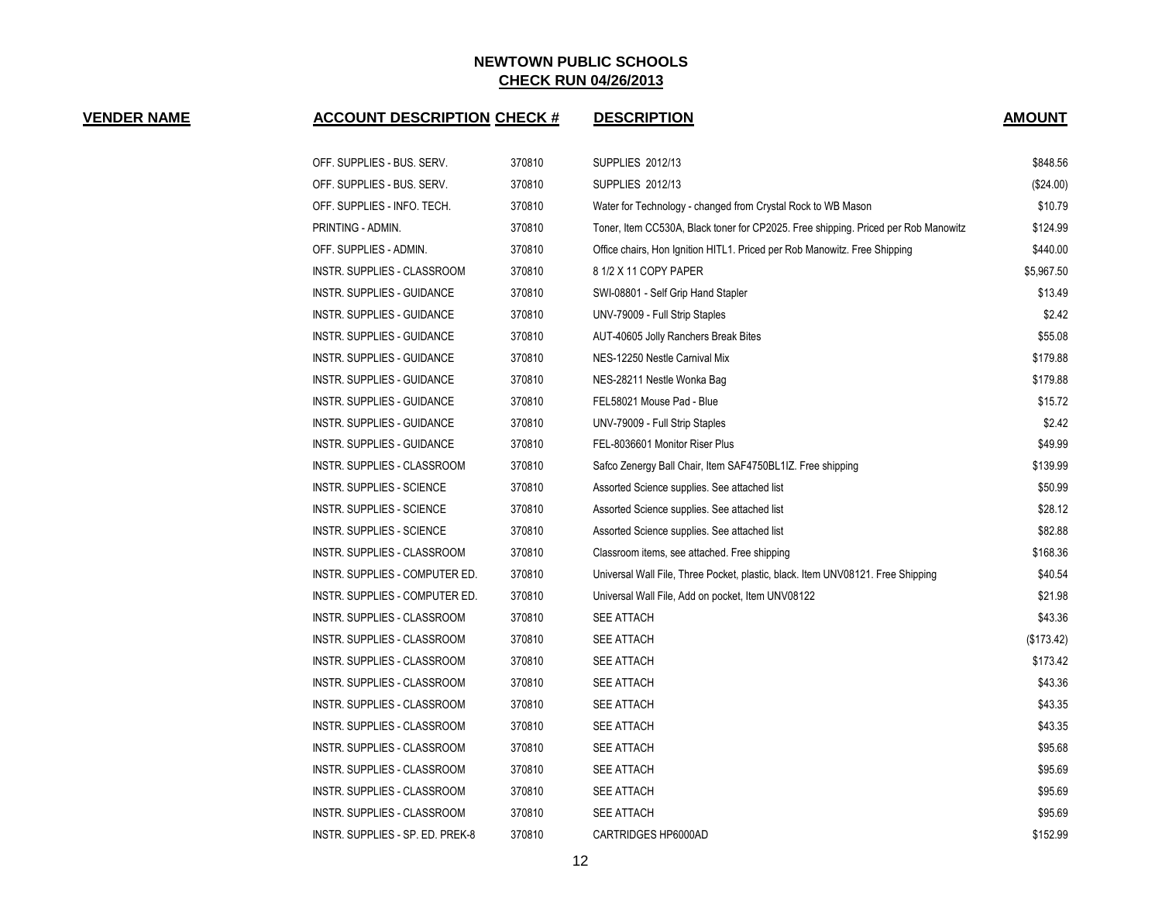**VENDER NAME ACCOUNT DESCRIPTION CHECK # DESCRIPTION AMOUNT**

| OFF. SUPPLIES - BUS. SERV.        | 370810 | <b>SUPPLIES 2012/13</b>                                                            | \$848.56   |
|-----------------------------------|--------|------------------------------------------------------------------------------------|------------|
| OFF. SUPPLIES - BUS. SERV.        | 370810 | <b>SUPPLIES 2012/13</b>                                                            | (\$24.00)  |
| OFF. SUPPLIES - INFO. TECH.       | 370810 | Water for Technology - changed from Crystal Rock to WB Mason                       | \$10.79    |
| PRINTING - ADMIN.                 | 370810 | Toner, Item CC530A, Black toner for CP2025. Free shipping. Priced per Rob Manowitz | \$124.99   |
| OFF. SUPPLIES - ADMIN.            | 370810 | Office chairs, Hon Ignition HITL1. Priced per Rob Manowitz. Free Shipping          | \$440.00   |
| INSTR. SUPPLIES - CLASSROOM       | 370810 | 8 1/2 X 11 COPY PAPER                                                              | \$5,967.50 |
| <b>INSTR. SUPPLIES - GUIDANCE</b> | 370810 | SWI-08801 - Self Grip Hand Stapler                                                 | \$13.49    |
| INSTR. SUPPLIES - GUIDANCE        | 370810 | UNV-79009 - Full Strip Staples                                                     | \$2.42     |
| INSTR. SUPPLIES - GUIDANCE        | 370810 | AUT-40605 Jolly Ranchers Break Bites                                               | \$55.08    |
| INSTR. SUPPLIES - GUIDANCE        | 370810 | NES-12250 Nestle Carnival Mix                                                      | \$179.88   |
| INSTR. SUPPLIES - GUIDANCE        | 370810 | NES-28211 Nestle Wonka Bag                                                         | \$179.88   |
| <b>INSTR. SUPPLIES - GUIDANCE</b> | 370810 | FEL58021 Mouse Pad - Blue                                                          | \$15.72    |
| INSTR. SUPPLIES - GUIDANCE        | 370810 | UNV-79009 - Full Strip Staples                                                     | \$2.42     |
| INSTR. SUPPLIES - GUIDANCE        | 370810 | FEL-8036601 Monitor Riser Plus                                                     | \$49.99    |
| INSTR. SUPPLIES - CLASSROOM       | 370810 | Safco Zenergy Ball Chair, Item SAF4750BL1IZ. Free shipping                         | \$139.99   |
| INSTR. SUPPLIES - SCIENCE         | 370810 | Assorted Science supplies. See attached list                                       | \$50.99    |
| INSTR. SUPPLIES - SCIENCE         | 370810 | Assorted Science supplies. See attached list                                       | \$28.12    |
| INSTR. SUPPLIES - SCIENCE         | 370810 | Assorted Science supplies. See attached list                                       | \$82.88    |
| INSTR. SUPPLIES - CLASSROOM       | 370810 | Classroom items, see attached. Free shipping                                       | \$168.36   |
| INSTR. SUPPLIES - COMPUTER ED.    | 370810 | Universal Wall File, Three Pocket, plastic, black. Item UNV08121. Free Shipping    | \$40.54    |
| INSTR. SUPPLIES - COMPUTER ED.    | 370810 | Universal Wall File, Add on pocket, Item UNV08122                                  | \$21.98    |
| INSTR. SUPPLIES - CLASSROOM       | 370810 | <b>SEE ATTACH</b>                                                                  | \$43.36    |
| INSTR. SUPPLIES - CLASSROOM       | 370810 | <b>SEE ATTACH</b>                                                                  | (\$173.42) |
| INSTR. SUPPLIES - CLASSROOM       | 370810 | <b>SEE ATTACH</b>                                                                  | \$173.42   |
| INSTR. SUPPLIES - CLASSROOM       | 370810 | <b>SEE ATTACH</b>                                                                  | \$43.36    |
| INSTR. SUPPLIES - CLASSROOM       | 370810 | <b>SEE ATTACH</b>                                                                  | \$43.35    |
| INSTR. SUPPLIES - CLASSROOM       | 370810 | <b>SEE ATTACH</b>                                                                  | \$43.35    |
| INSTR. SUPPLIES - CLASSROOM       | 370810 | <b>SEE ATTACH</b>                                                                  | \$95.68    |
| INSTR. SUPPLIES - CLASSROOM       | 370810 | <b>SEE ATTACH</b>                                                                  | \$95.69    |
| INSTR. SUPPLIES - CLASSROOM       | 370810 | <b>SEE ATTACH</b>                                                                  | \$95.69    |
| INSTR. SUPPLIES - CLASSROOM       | 370810 | <b>SEE ATTACH</b>                                                                  | \$95.69    |
| INSTR. SUPPLIES - SP. ED. PREK-8  | 370810 | CARTRIDGES HP6000AD                                                                | \$152.99   |
|                                   |        |                                                                                    |            |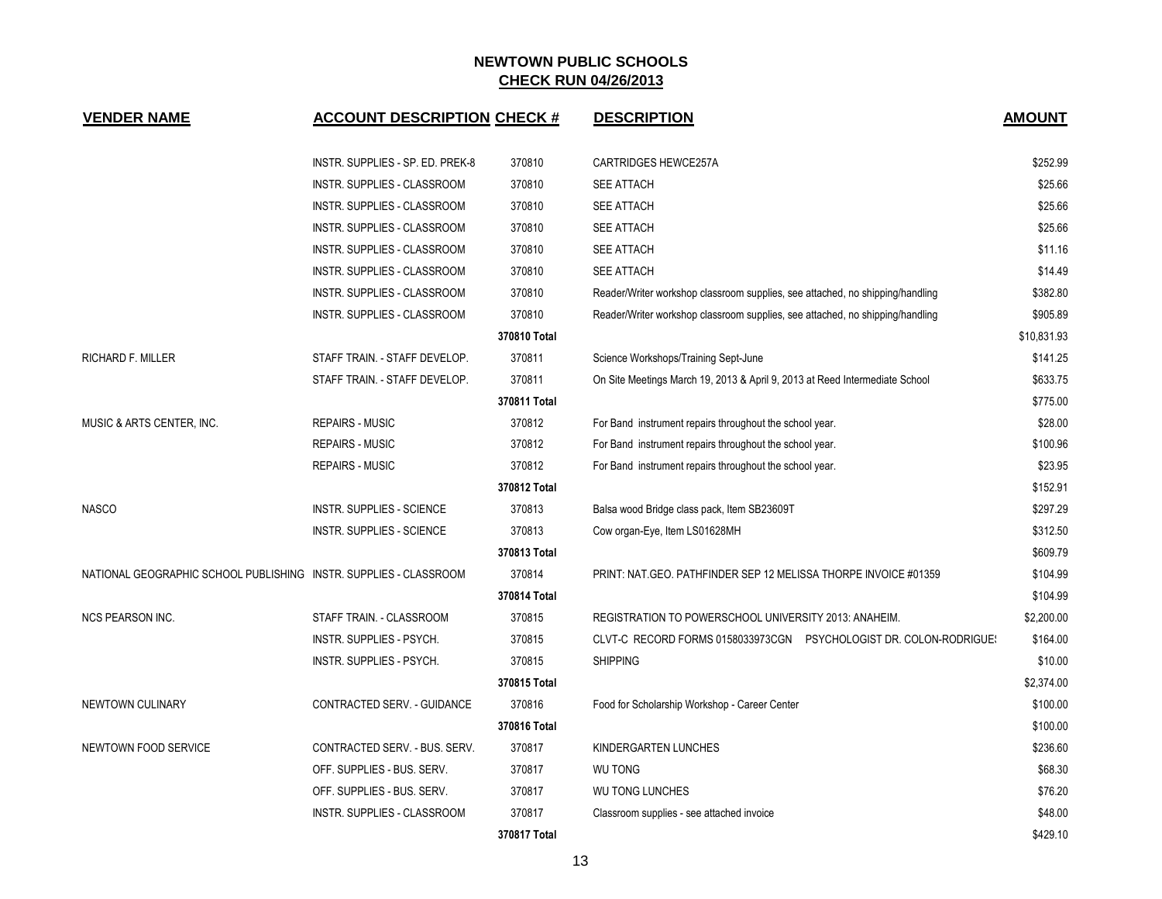| <b>VENDER NAME</b>                                                | <b>ACCOUNT DESCRIPTION CHECK #</b> |              | <b>DESCRIPTION</b>                                                            | <b>AMOUNT</b> |
|-------------------------------------------------------------------|------------------------------------|--------------|-------------------------------------------------------------------------------|---------------|
|                                                                   | INSTR. SUPPLIES - SP. ED. PREK-8   | 370810       | CARTRIDGES HEWCE257A                                                          | \$252.99      |
|                                                                   | INSTR. SUPPLIES - CLASSROOM        | 370810       | <b>SEE ATTACH</b>                                                             | \$25.66       |
|                                                                   | INSTR. SUPPLIES - CLASSROOM        | 370810       | <b>SEE ATTACH</b>                                                             | \$25.66       |
|                                                                   | INSTR. SUPPLIES - CLASSROOM        | 370810       | <b>SEE ATTACH</b>                                                             | \$25.66       |
|                                                                   | INSTR. SUPPLIES - CLASSROOM        | 370810       | <b>SEE ATTACH</b>                                                             | \$11.16       |
|                                                                   | INSTR. SUPPLIES - CLASSROOM        | 370810       | <b>SEE ATTACH</b>                                                             | \$14.49       |
|                                                                   | INSTR. SUPPLIES - CLASSROOM        | 370810       | Reader/Writer workshop classroom supplies, see attached, no shipping/handling | \$382.80      |
|                                                                   | INSTR. SUPPLIES - CLASSROOM        | 370810       | Reader/Writer workshop classroom supplies, see attached, no shipping/handling | \$905.89      |
|                                                                   |                                    | 370810 Total |                                                                               | \$10,831.93   |
| <b>RICHARD F. MILLER</b>                                          | STAFF TRAIN. - STAFF DEVELOP.      | 370811       | Science Workshops/Training Sept-June                                          | \$141.25      |
|                                                                   | STAFF TRAIN. - STAFF DEVELOP.      | 370811       | On Site Meetings March 19, 2013 & April 9, 2013 at Reed Intermediate School   | \$633.75      |
|                                                                   |                                    | 370811 Total |                                                                               | \$775.00      |
| MUSIC & ARTS CENTER, INC.                                         | <b>REPAIRS - MUSIC</b>             | 370812       | For Band instrument repairs throughout the school year.                       | \$28.00       |
|                                                                   | <b>REPAIRS - MUSIC</b>             | 370812       | For Band instrument repairs throughout the school year.                       | \$100.96      |
|                                                                   | <b>REPAIRS - MUSIC</b>             | 370812       | For Band instrument repairs throughout the school year.                       | \$23.95       |
|                                                                   |                                    | 370812 Total |                                                                               | \$152.91      |
| <b>NASCO</b>                                                      | INSTR. SUPPLIES - SCIENCE          | 370813       | Balsa wood Bridge class pack, Item SB23609T                                   | \$297.29      |
|                                                                   | INSTR. SUPPLIES - SCIENCE          | 370813       | Cow organ-Eye, Item LS01628MH                                                 | \$312.50      |
|                                                                   |                                    | 370813 Total |                                                                               | \$609.79      |
| NATIONAL GEOGRAPHIC SCHOOL PUBLISHING INSTR. SUPPLIES - CLASSROOM |                                    | 370814       | PRINT: NAT. GEO. PATHFINDER SEP 12 MELISSA THORPE INVOICE #01359              | \$104.99      |
|                                                                   |                                    | 370814 Total |                                                                               | \$104.99      |
| <b>NCS PEARSON INC.</b>                                           | STAFF TRAIN. - CLASSROOM           | 370815       | REGISTRATION TO POWERSCHOOL UNIVERSITY 2013: ANAHEIM.                         | \$2,200.00    |
|                                                                   | INSTR. SUPPLIES - PSYCH.           | 370815       | CLVT-C RECORD FORMS 0158033973CGN PSYCHOLOGIST DR. COLON-RODRIGUE!            | \$164.00      |
|                                                                   | INSTR. SUPPLIES - PSYCH.           | 370815       | <b>SHIPPING</b>                                                               | \$10.00       |
|                                                                   |                                    | 370815 Total |                                                                               | \$2,374.00    |
| NEWTOWN CULINARY                                                  | CONTRACTED SERV. - GUIDANCE        | 370816       | Food for Scholarship Workshop - Career Center                                 | \$100.00      |
|                                                                   |                                    | 370816 Total |                                                                               | \$100.00      |
| NEWTOWN FOOD SERVICE                                              | CONTRACTED SERV. - BUS. SERV.      | 370817       | KINDERGARTEN LUNCHES                                                          | \$236.60      |
|                                                                   | OFF. SUPPLIES - BUS. SERV.         | 370817       | <b>WU TONG</b>                                                                | \$68.30       |
|                                                                   | OFF. SUPPLIES - BUS. SERV.         | 370817       | <b>WU TONG LUNCHES</b>                                                        | \$76.20       |
|                                                                   | INSTR. SUPPLIES - CLASSROOM        | 370817       | Classroom supplies - see attached invoice                                     | \$48.00       |
|                                                                   |                                    | 370817 Total |                                                                               | \$429.10      |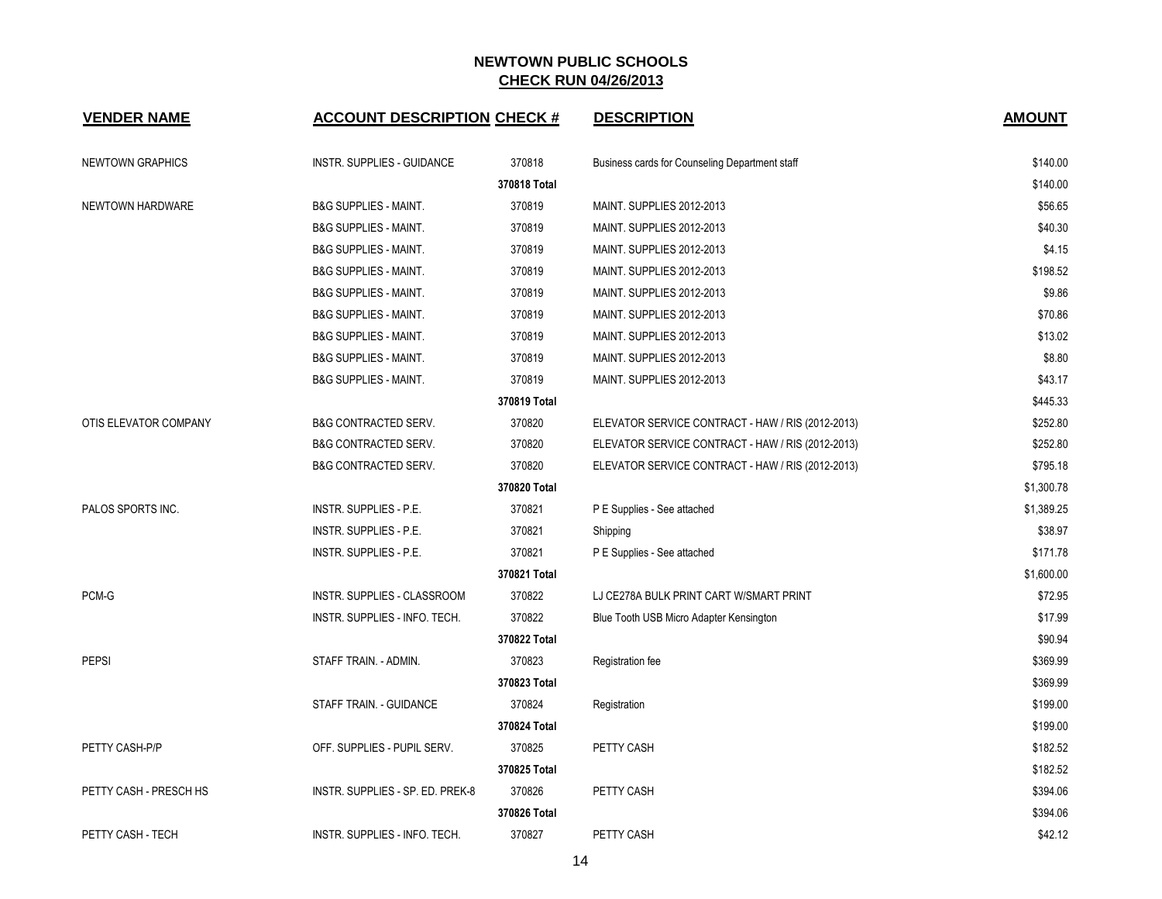| <b>VENDER NAME</b>      | <b>ACCOUNT DESCRIPTION CHECK #</b> |              | <b>DESCRIPTION</b>                                | <b>AMOUNT</b> |
|-------------------------|------------------------------------|--------------|---------------------------------------------------|---------------|
| <b>NEWTOWN GRAPHICS</b> | <b>INSTR. SUPPLIES - GUIDANCE</b>  | 370818       | Business cards for Counseling Department staff    | \$140.00      |
|                         |                                    | 370818 Total |                                                   | \$140.00      |
| NEWTOWN HARDWARE        | <b>B&amp;G SUPPLIES - MAINT.</b>   | 370819       | MAINT. SUPPLIES 2012-2013                         | \$56.65       |
|                         | <b>B&amp;G SUPPLIES - MAINT.</b>   | 370819       | MAINT. SUPPLIES 2012-2013                         | \$40.30       |
|                         | <b>B&amp;G SUPPLIES - MAINT.</b>   | 370819       | MAINT. SUPPLIES 2012-2013                         | \$4.15        |
|                         | <b>B&amp;G SUPPLIES - MAINT.</b>   | 370819       | MAINT. SUPPLIES 2012-2013                         | \$198.52      |
|                         | <b>B&amp;G SUPPLIES - MAINT.</b>   | 370819       | MAINT. SUPPLIES 2012-2013                         | \$9.86        |
|                         | <b>B&amp;G SUPPLIES - MAINT.</b>   | 370819       | MAINT. SUPPLIES 2012-2013                         | \$70.86       |
|                         | <b>B&amp;G SUPPLIES - MAINT.</b>   | 370819       | MAINT. SUPPLIES 2012-2013                         | \$13.02       |
|                         | <b>B&amp;G SUPPLIES - MAINT.</b>   | 370819       | MAINT. SUPPLIES 2012-2013                         | \$8.80        |
|                         | <b>B&amp;G SUPPLIES - MAINT.</b>   | 370819       | MAINT. SUPPLIES 2012-2013                         | \$43.17       |
|                         |                                    | 370819 Total |                                                   | \$445.33      |
| OTIS ELEVATOR COMPANY   | <b>B&amp;G CONTRACTED SERV.</b>    | 370820       | ELEVATOR SERVICE CONTRACT - HAW / RIS (2012-2013) | \$252.80      |
|                         | <b>B&amp;G CONTRACTED SERV.</b>    | 370820       | ELEVATOR SERVICE CONTRACT - HAW / RIS (2012-2013) | \$252.80      |
|                         | <b>B&amp;G CONTRACTED SERV.</b>    | 370820       | ELEVATOR SERVICE CONTRACT - HAW / RIS (2012-2013) | \$795.18      |
|                         |                                    | 370820 Total |                                                   | \$1,300.78    |
| PALOS SPORTS INC.       | <b>INSTR. SUPPLIES - P.E.</b>      | 370821       | P E Supplies - See attached                       | \$1,389.25    |
|                         | INSTR. SUPPLIES - P.E.             | 370821       | Shipping                                          | \$38.97       |
|                         | <b>INSTR. SUPPLIES - P.E.</b>      | 370821       | P E Supplies - See attached                       | \$171.78      |
|                         |                                    | 370821 Total |                                                   | \$1,600.00    |
| PCM-G                   | INSTR. SUPPLIES - CLASSROOM        | 370822       | LJ CE278A BULK PRINT CART W/SMART PRINT           | \$72.95       |
|                         | INSTR. SUPPLIES - INFO. TECH.      | 370822       | Blue Tooth USB Micro Adapter Kensington           | \$17.99       |
|                         |                                    | 370822 Total |                                                   | \$90.94       |
| <b>PEPSI</b>            | STAFF TRAIN. - ADMIN.              | 370823       | Registration fee                                  | \$369.99      |
|                         |                                    | 370823 Total |                                                   | \$369.99      |
|                         | STAFF TRAIN. - GUIDANCE            | 370824       | Registration                                      | \$199.00      |
|                         |                                    | 370824 Total |                                                   | \$199.00      |
| PETTY CASH-P/P          | OFF. SUPPLIES - PUPIL SERV.        | 370825       | <b>PETTY CASH</b>                                 | \$182.52      |
|                         |                                    | 370825 Total |                                                   | \$182.52      |
| PETTY CASH - PRESCH HS  | INSTR. SUPPLIES - SP. ED. PREK-8   | 370826       | <b>PETTY CASH</b>                                 | \$394.06      |
|                         |                                    | 370826 Total |                                                   | \$394.06      |
| PETTY CASH - TECH       | INSTR. SUPPLIES - INFO. TECH.      | 370827       | PETTY CASH                                        | \$42.12       |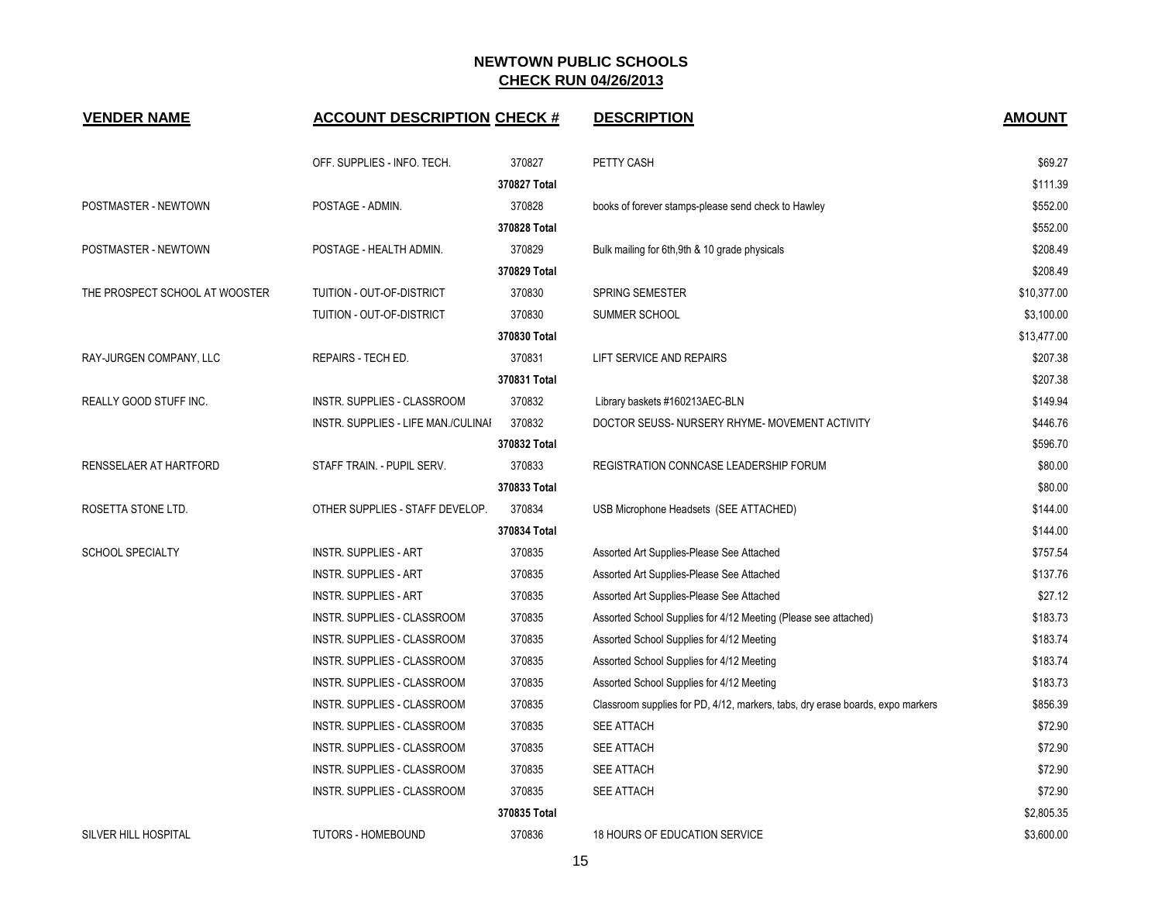| <b>VENDER NAME</b>             | <b>ACCOUNT DESCRIPTION CHECK #</b>  |              | <b>DESCRIPTION</b>                                                             | <b>AMOUNT</b> |
|--------------------------------|-------------------------------------|--------------|--------------------------------------------------------------------------------|---------------|
|                                | OFF. SUPPLIES - INFO. TECH.         | 370827       | PETTY CASH                                                                     | \$69.27       |
|                                |                                     | 370827 Total |                                                                                | \$111.39      |
| POSTMASTER - NEWTOWN           | POSTAGE - ADMIN.                    | 370828       | books of forever stamps-please send check to Hawley                            | \$552.00      |
|                                |                                     | 370828 Total |                                                                                | \$552.00      |
| POSTMASTER - NEWTOWN           | POSTAGE - HEALTH ADMIN.             | 370829       | Bulk mailing for 6th, 9th & 10 grade physicals                                 | \$208.49      |
|                                |                                     | 370829 Total |                                                                                | \$208.49      |
| THE PROSPECT SCHOOL AT WOOSTER | TUITION - OUT-OF-DISTRICT           | 370830       | <b>SPRING SEMESTER</b>                                                         | \$10,377.00   |
|                                | TUITION - OUT-OF-DISTRICT           | 370830       | SUMMER SCHOOL                                                                  | \$3,100.00    |
|                                |                                     | 370830 Total |                                                                                | \$13,477.00   |
| RAY-JURGEN COMPANY, LLC        | REPAIRS - TECH ED.                  | 370831       | LIFT SERVICE AND REPAIRS                                                       | \$207.38      |
|                                |                                     | 370831 Total |                                                                                | \$207.38      |
| REALLY GOOD STUFF INC.         | INSTR. SUPPLIES - CLASSROOM         | 370832       | Library baskets #160213AEC-BLN                                                 | \$149.94      |
|                                | INSTR. SUPPLIES - LIFE MAN./CULINAI | 370832       | DOCTOR SEUSS- NURSERY RHYME- MOVEMENT ACTIVITY                                 | \$446.76      |
|                                |                                     | 370832 Total |                                                                                | \$596.70      |
| RENSSELAER AT HARTFORD         | STAFF TRAIN. - PUPIL SERV.          | 370833       | REGISTRATION CONNCASE LEADERSHIP FORUM                                         | \$80.00       |
|                                |                                     | 370833 Total |                                                                                | \$80.00       |
| ROSETTA STONE LTD.             | OTHER SUPPLIES - STAFF DEVELOP.     | 370834       | USB Microphone Headsets (SEE ATTACHED)                                         | \$144.00      |
|                                |                                     | 370834 Total |                                                                                | \$144.00      |
| <b>SCHOOL SPECIALTY</b>        | <b>INSTR. SUPPLIES - ART</b>        | 370835       | Assorted Art Supplies-Please See Attached                                      | \$757.54      |
|                                | <b>INSTR. SUPPLIES - ART</b>        | 370835       | Assorted Art Supplies-Please See Attached                                      | \$137.76      |
|                                | <b>INSTR. SUPPLIES - ART</b>        | 370835       | Assorted Art Supplies-Please See Attached                                      | \$27.12       |
|                                | INSTR. SUPPLIES - CLASSROOM         | 370835       | Assorted School Supplies for 4/12 Meeting (Please see attached)                | \$183.73      |
|                                | INSTR. SUPPLIES - CLASSROOM         | 370835       | Assorted School Supplies for 4/12 Meeting                                      | \$183.74      |
|                                | INSTR. SUPPLIES - CLASSROOM         | 370835       | Assorted School Supplies for 4/12 Meeting                                      | \$183.74      |
|                                | INSTR. SUPPLIES - CLASSROOM         | 370835       | Assorted School Supplies for 4/12 Meeting                                      | \$183.73      |
|                                | INSTR. SUPPLIES - CLASSROOM         | 370835       | Classroom supplies for PD, 4/12, markers, tabs, dry erase boards, expo markers | \$856.39      |
|                                | INSTR. SUPPLIES - CLASSROOM         | 370835       | SEE ATTACH                                                                     | \$72.90       |
|                                | INSTR. SUPPLIES - CLASSROOM         | 370835       | <b>SEE ATTACH</b>                                                              | \$72.90       |
|                                | INSTR. SUPPLIES - CLASSROOM         | 370835       | <b>SEE ATTACH</b>                                                              | \$72.90       |
|                                | INSTR. SUPPLIES - CLASSROOM         | 370835       | <b>SEE ATTACH</b>                                                              | \$72.90       |
|                                |                                     | 370835 Total |                                                                                | \$2,805.35    |
| <b>SILVER HILL HOSPITAL</b>    | <b>TUTORS - HOMEBOUND</b>           | 370836       | <b>18 HOURS OF EDUCATION SERVICE</b>                                           | \$3,600.00    |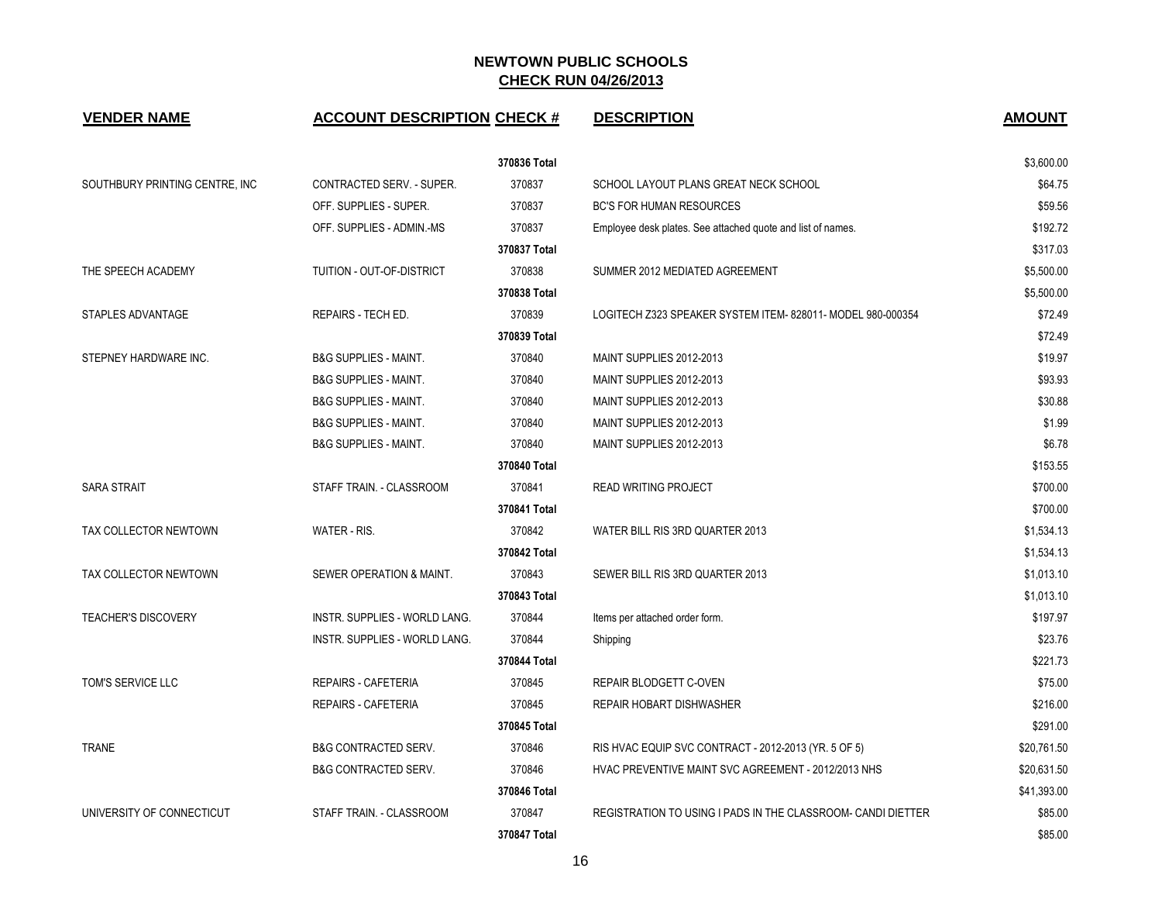| <b>VENDER NAME</b>             | <b>ACCOUNT DESCRIPTION CHECK #</b> |              | <b>DESCRIPTION</b>                                           | <b>AMOUNT</b> |
|--------------------------------|------------------------------------|--------------|--------------------------------------------------------------|---------------|
|                                |                                    | 370836 Total |                                                              | \$3,600.00    |
| SOUTHBURY PRINTING CENTRE, INC | CONTRACTED SERV. - SUPER.          | 370837       | SCHOOL LAYOUT PLANS GREAT NECK SCHOOL                        | \$64.75       |
|                                | OFF. SUPPLIES - SUPER.             | 370837       | <b>BC'S FOR HUMAN RESOURCES</b>                              | \$59.56       |
|                                | OFF. SUPPLIES - ADMIN.-MS          | 370837       | Employee desk plates. See attached quote and list of names.  | \$192.72      |
|                                |                                    | 370837 Total |                                                              | \$317.03      |
| THE SPEECH ACADEMY             | TUITION - OUT-OF-DISTRICT          | 370838       | SUMMER 2012 MEDIATED AGREEMENT                               | \$5,500.00    |
|                                |                                    | 370838 Total |                                                              | \$5,500.00    |
| STAPLES ADVANTAGE              | REPAIRS - TECH ED.                 | 370839       | LOGITECH Z323 SPEAKER SYSTEM ITEM-828011-MODEL 980-000354    | \$72.49       |
|                                |                                    | 370839 Total |                                                              | \$72.49       |
| STEPNEY HARDWARE INC.          | <b>B&amp;G SUPPLIES - MAINT.</b>   | 370840       | MAINT SUPPLIES 2012-2013                                     | \$19.97       |
|                                | <b>B&amp;G SUPPLIES - MAINT.</b>   | 370840       | MAINT SUPPLIES 2012-2013                                     | \$93.93       |
|                                | <b>B&amp;G SUPPLIES - MAINT.</b>   | 370840       | MAINT SUPPLIES 2012-2013                                     | \$30.88       |
|                                | <b>B&amp;G SUPPLIES - MAINT.</b>   | 370840       | MAINT SUPPLIES 2012-2013                                     | \$1.99        |
|                                | <b>B&amp;G SUPPLIES - MAINT.</b>   | 370840       | MAINT SUPPLIES 2012-2013                                     | \$6.78        |
|                                |                                    | 370840 Total |                                                              | \$153.55      |
| <b>SARA STRAIT</b>             | STAFF TRAIN. - CLASSROOM           | 370841       | <b>READ WRITING PROJECT</b>                                  | \$700.00      |
|                                |                                    | 370841 Total |                                                              | \$700.00      |
| TAX COLLECTOR NEWTOWN          | WATER - RIS.                       | 370842       | WATER BILL RIS 3RD QUARTER 2013                              | \$1,534.13    |
|                                |                                    | 370842 Total |                                                              | \$1,534.13    |
| TAX COLLECTOR NEWTOWN          | SEWER OPERATION & MAINT.           | 370843       | SEWER BILL RIS 3RD QUARTER 2013                              | \$1,013.10    |
|                                |                                    | 370843 Total |                                                              | \$1,013.10    |
| <b>TEACHER'S DISCOVERY</b>     | INSTR. SUPPLIES - WORLD LANG.      | 370844       | Items per attached order form.                               | \$197.97      |
|                                | INSTR. SUPPLIES - WORLD LANG.      | 370844       | Shipping                                                     | \$23.76       |
|                                |                                    | 370844 Total |                                                              | \$221.73      |
| TOM'S SERVICE LLC              | REPAIRS - CAFETERIA                | 370845       | <b>REPAIR BLODGETT C-OVEN</b>                                | \$75.00       |
|                                | REPAIRS - CAFETERIA                | 370845       | REPAIR HOBART DISHWASHER                                     | \$216.00      |
|                                |                                    | 370845 Total |                                                              | \$291.00      |
| <b>TRANE</b>                   | B&G CONTRACTED SERV.               | 370846       | RIS HVAC EQUIP SVC CONTRACT - 2012-2013 (YR. 5 OF 5)         | \$20,761.50   |
|                                | <b>B&amp;G CONTRACTED SERV.</b>    | 370846       | HVAC PREVENTIVE MAINT SVC AGREEMENT - 2012/2013 NHS          | \$20,631.50   |
|                                |                                    | 370846 Total |                                                              | \$41,393.00   |
| UNIVERSITY OF CONNECTICUT      | STAFF TRAIN. - CLASSROOM           | 370847       | REGISTRATION TO USING I PADS IN THE CLASSROOM- CANDI DIETTER | \$85.00       |
|                                |                                    | 370847 Total |                                                              | \$85.00       |